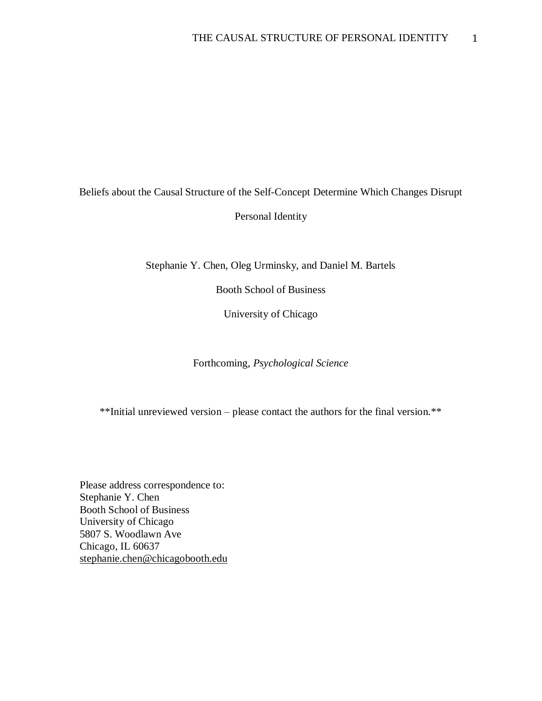## Beliefs about the Causal Structure of the Self-Concept Determine Which Changes Disrupt

Personal Identity

Stephanie Y. Chen, Oleg Urminsky, and Daniel M. Bartels

Booth School of Business

University of Chicago

Forthcoming, *Psychological Science*

\*\*Initial unreviewed version – please contact the authors for the final version.\*\*

Please address correspondence to: Stephanie Y. Chen Booth School of Business University of Chicago 5807 S. Woodlawn Ave Chicago, IL 60637 [stephanie.chen@chicagobooth.edu](mailto:syc341@nyu.edu)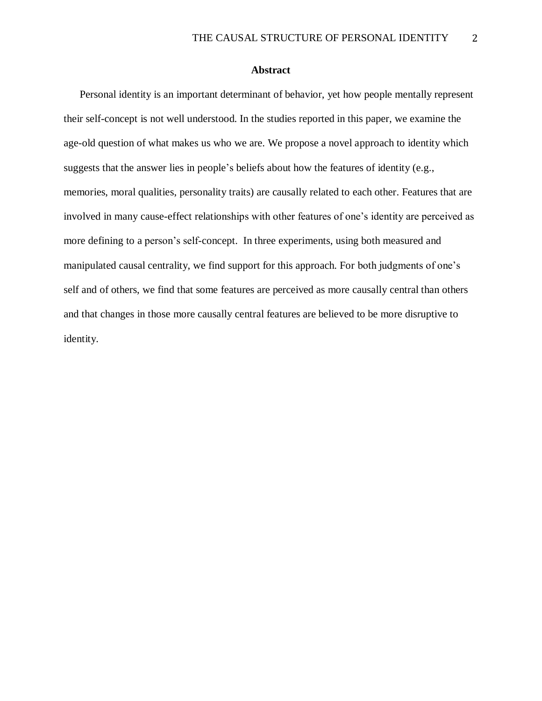#### **Abstract**

Personal identity is an important determinant of behavior, yet how people mentally represent their self-concept is not well understood. In the studies reported in this paper, we examine the age-old question of what makes us who we are. We propose a novel approach to identity which suggests that the answer lies in people's beliefs about how the features of identity (e.g., memories, moral qualities, personality traits) are causally related to each other. Features that are involved in many cause-effect relationships with other features of one's identity are perceived as more defining to a person's self-concept. In three experiments, using both measured and manipulated causal centrality, we find support for this approach. For both judgments of one's self and of others, we find that some features are perceived as more causally central than others and that changes in those more causally central features are believed to be more disruptive to identity.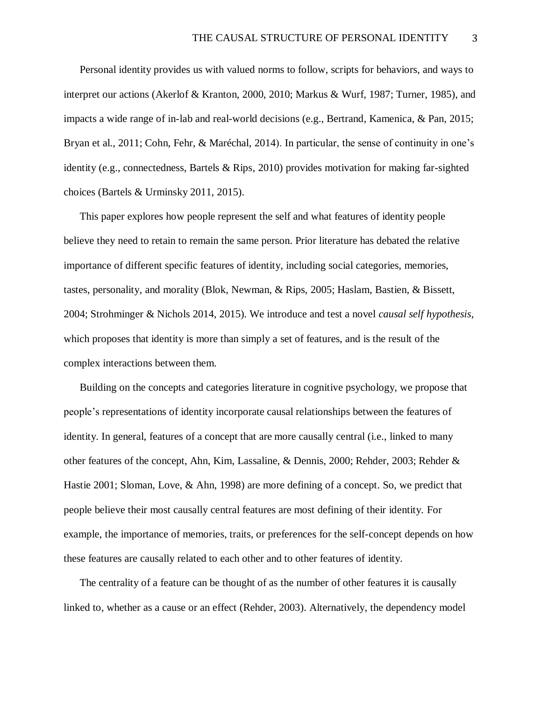Personal identity provides us with valued norms to follow, scripts for behaviors, and ways to interpret our actions (Akerlof & Kranton, 2000, 2010; Markus & Wurf, 1987; Turner, 1985), and impacts a wide range of in-lab and real-world decisions (e.g., Bertrand, Kamenica, & Pan, 2015; Bryan et al., 2011; Cohn, Fehr, & Maréchal, 2014). In particular, the sense of continuity in one's identity (e.g., connectedness, Bartels & Rips, 2010) provides motivation for making far-sighted choices (Bartels & Urminsky 2011, 2015).

This paper explores how people represent the self and what features of identity people believe they need to retain to remain the same person. Prior literature has debated the relative importance of different specific features of identity, including social categories, memories, tastes, personality, and morality (Blok, Newman, & Rips, 2005; Haslam, Bastien, & Bissett, 2004; Strohminger & Nichols 2014, 2015). We introduce and test a novel *causal self hypothesis*, which proposes that identity is more than simply a set of features, and is the result of the complex interactions between them.

Building on the concepts and categories literature in cognitive psychology, we propose that people's representations of identity incorporate causal relationships between the features of identity. In general, features of a concept that are more causally central (i.e., linked to many other features of the concept, Ahn, Kim, Lassaline, & Dennis, 2000; Rehder, 2003; Rehder & Hastie 2001; Sloman, Love, & Ahn, 1998) are more defining of a concept. So, we predict that people believe their most causally central features are most defining of their identity. For example, the importance of memories, traits, or preferences for the self-concept depends on how these features are causally related to each other and to other features of identity.

The centrality of a feature can be thought of as the number of other features it is causally linked to, whether as a cause or an effect (Rehder, 2003). Alternatively, the dependency model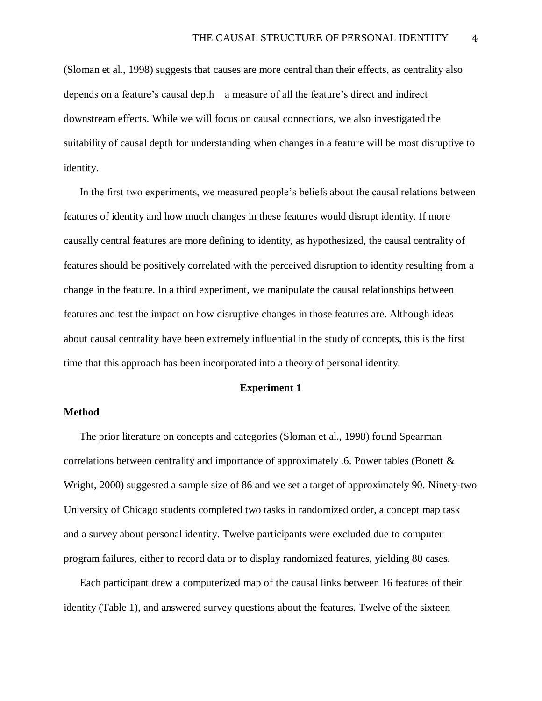(Sloman et al., 1998) suggests that causes are more central than their effects, as centrality also depends on a feature's causal depth—a measure of all the feature's direct and indirect downstream effects. While we will focus on causal connections, we also investigated the suitability of causal depth for understanding when changes in a feature will be most disruptive to identity.

In the first two experiments, we measured people's beliefs about the causal relations between features of identity and how much changes in these features would disrupt identity. If more causally central features are more defining to identity, as hypothesized, the causal centrality of features should be positively correlated with the perceived disruption to identity resulting from a change in the feature. In a third experiment, we manipulate the causal relationships between features and test the impact on how disruptive changes in those features are. Although ideas about causal centrality have been extremely influential in the study of concepts, this is the first time that this approach has been incorporated into a theory of personal identity.

#### **Experiment 1**

#### **Method**

The prior literature on concepts and categories (Sloman et al., 1998) found Spearman correlations between centrality and importance of approximately .6. Power tables (Bonett & Wright, 2000) suggested a sample size of 86 and we set a target of approximately 90. Ninety-two University of Chicago students completed two tasks in randomized order, a concept map task and a survey about personal identity. Twelve participants were excluded due to computer program failures, either to record data or to display randomized features, yielding 80 cases.

Each participant drew a computerized map of the causal links between 16 features of their identity (Table 1), and answered survey questions about the features. Twelve of the sixteen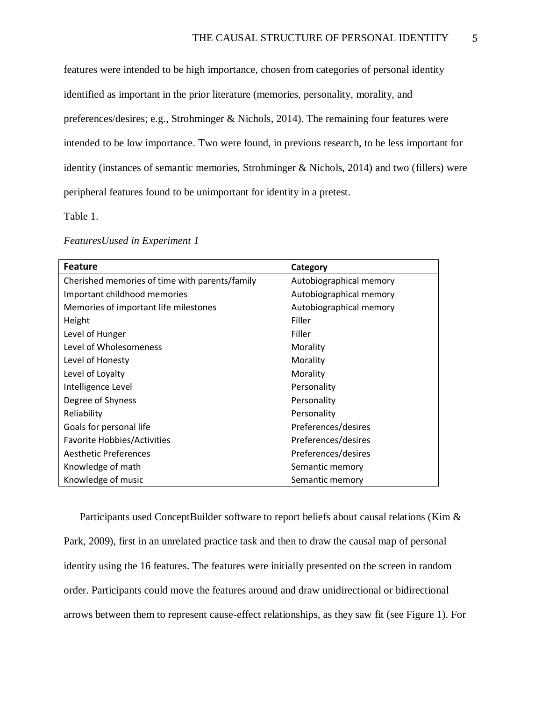features were intended to be high importance, chosen from categories of personal identity identified as important in the prior literature (memories, personality, morality, and preferences/desires; e.g., Strohminger & Nichols, 2014). The remaining four features were intended to be low importance. Two were found, in previous research, to be less important for identity (instances of semantic memories, Strohminger & Nichols, 2014) and two (fillers) were peripheral features found to be unimportant for identity in a pretest.

Table 1.

| FeaturesUused in Experiment 1 |  |  |  |
|-------------------------------|--|--|--|
|                               |  |  |  |

| <b>Feature</b>                                 | Category                |
|------------------------------------------------|-------------------------|
| Cherished memories of time with parents/family | Autobiographical memory |
| Important childhood memories                   | Autobiographical memory |
| Memories of important life milestones          | Autobiographical memory |
| Height                                         | Filler                  |
| Level of Hunger                                | Filler                  |
| Level of Wholesomeness                         | Morality                |
| Level of Honesty                               | Morality                |
| Level of Loyalty                               | Morality                |
| Intelligence Level                             | Personality             |
| Degree of Shyness                              | Personality             |
| Reliability                                    | Personality             |
| Goals for personal life                        | Preferences/desires     |
| <b>Favorite Hobbies/Activities</b>             | Preferences/desires     |
| <b>Aesthetic Preferences</b>                   | Preferences/desires     |
| Knowledge of math                              | Semantic memory         |
| Knowledge of music                             | Semantic memory         |

Participants used ConceptBuilder software to report beliefs about causal relations (Kim & Park, 2009), first in an unrelated practice task and then to draw the causal map of personal identity using the 16 features. The features were initially presented on the screen in random order. Participants could move the features around and draw unidirectional or bidirectional arrows between them to represent cause-effect relationships, as they saw fit (see Figure 1). For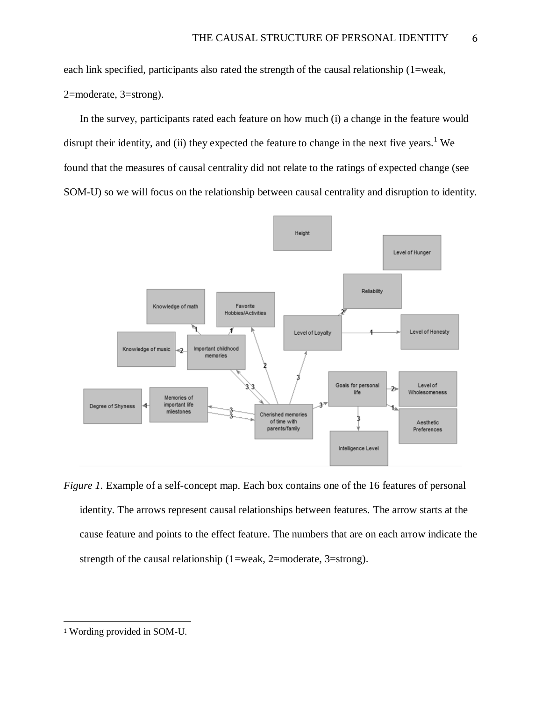each link specified, participants also rated the strength of the causal relationship (1=weak, 2=moderate, 3=strong).

In the survey, participants rated each feature on how much (i) a change in the feature would disrupt their identity, and (ii) they expected the feature to change in the next five years.<sup>1</sup> We found that the measures of causal centrality did not relate to the ratings of expected change (see SOM-U) so we will focus on the relationship between causal centrality and disruption to identity.



*Figure 1.* Example of a self-concept map. Each box contains one of the 16 features of personal identity. The arrows represent causal relationships between features. The arrow starts at the cause feature and points to the effect feature. The numbers that are on each arrow indicate the strength of the causal relationship (1=weak, 2=moderate, 3=strong).

 $\overline{a}$ 

<sup>1</sup> Wording provided in SOM-U.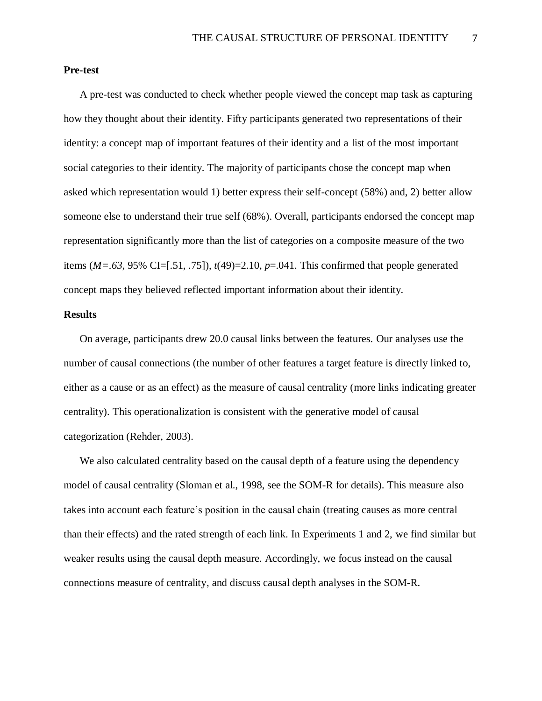#### **Pre-test**

A pre-test was conducted to check whether people viewed the concept map task as capturing how they thought about their identity. Fifty participants generated two representations of their identity: a concept map of important features of their identity and a list of the most important social categories to their identity. The majority of participants chose the concept map when asked which representation would 1) better express their self-concept (58%) and, 2) better allow someone else to understand their true self (68%). Overall, participants endorsed the concept map representation significantly more than the list of categories on a composite measure of the two items  $(M=0.63, 95\% \text{ CI}=[0.51, 0.75]), t(49)=2.10, p=.041$ . This confirmed that people generated concept maps they believed reflected important information about their identity.

#### **Results**

On average, participants drew 20.0 causal links between the features. Our analyses use the number of causal connections (the number of other features a target feature is directly linked to, either as a cause or as an effect) as the measure of causal centrality (more links indicating greater centrality). This operationalization is consistent with the generative model of causal categorization (Rehder, 2003).

We also calculated centrality based on the causal depth of a feature using the dependency model of causal centrality (Sloman et al., 1998, see the SOM-R for details). This measure also takes into account each feature's position in the causal chain (treating causes as more central than their effects) and the rated strength of each link. In Experiments 1 and 2, we find similar but weaker results using the causal depth measure. Accordingly, we focus instead on the causal connections measure of centrality, and discuss causal depth analyses in the SOM-R.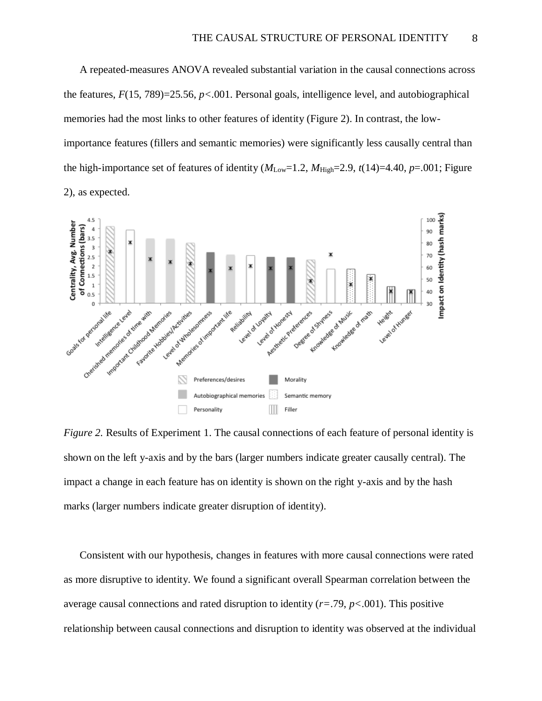A repeated-measures ANOVA revealed substantial variation in the causal connections across the features, *F*(15, 789)=25.56, *p<*.001. Personal goals, intelligence level, and autobiographical memories had the most links to other features of identity (Figure 2). In contrast, the lowimportance features (fillers and semantic memories) were significantly less causally central than the high-importance set of features of identity  $(M_{Low}=1.2, M_{High}=2.9, t(14)=4.40, p=.001;$  Figure 2), as expected.



*Figure 2.* Results of Experiment 1. The causal connections of each feature of personal identity is shown on the left y-axis and by the bars (larger numbers indicate greater causally central). The impact a change in each feature has on identity is shown on the right y-axis and by the hash marks (larger numbers indicate greater disruption of identity).

Consistent with our hypothesis, changes in features with more causal connections were rated as more disruptive to identity. We found a significant overall Spearman correlation between the average causal connections and rated disruption to identity (*r=*.79, *p<*.001). This positive relationship between causal connections and disruption to identity was observed at the individual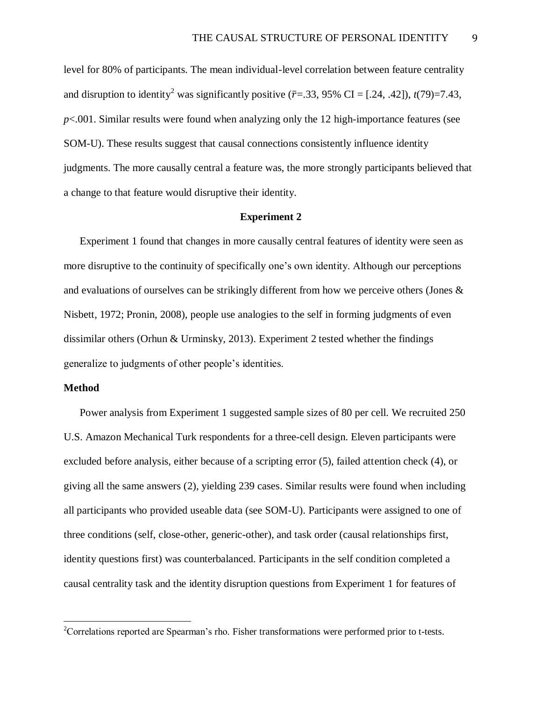level for 80% of participants. The mean individual-level correlation between feature centrality and disruption to identity<sup>2</sup> was significantly positive ( $\bar{r}$ =.33, 95% CI = [.24, .42]), *t*(79)=7.43, *p*<.001. Similar results were found when analyzing only the 12 high-importance features (see SOM-U). These results suggest that causal connections consistently influence identity judgments. The more causally central a feature was, the more strongly participants believed that a change to that feature would disruptive their identity.

#### **Experiment 2**

Experiment 1 found that changes in more causally central features of identity were seen as more disruptive to the continuity of specifically one's own identity. Although our perceptions and evaluations of ourselves can be strikingly different from how we perceive others (Jones & Nisbett, 1972; Pronin, 2008), people use analogies to the self in forming judgments of even dissimilar others (Orhun & Urminsky, 2013). Experiment 2 tested whether the findings generalize to judgments of other people's identities.

#### **Method**

l

Power analysis from Experiment 1 suggested sample sizes of 80 per cell. We recruited 250 U.S. Amazon Mechanical Turk respondents for a three-cell design. Eleven participants were excluded before analysis, either because of a scripting error (5), failed attention check (4), or giving all the same answers (2), yielding 239 cases. Similar results were found when including all participants who provided useable data (see SOM-U). Participants were assigned to one of three conditions (self, close-other, generic-other), and task order (causal relationships first, identity questions first) was counterbalanced. Participants in the self condition completed a causal centrality task and the identity disruption questions from Experiment 1 for features of

<sup>&</sup>lt;sup>2</sup>Correlations reported are Spearman's rho. Fisher transformations were performed prior to t-tests.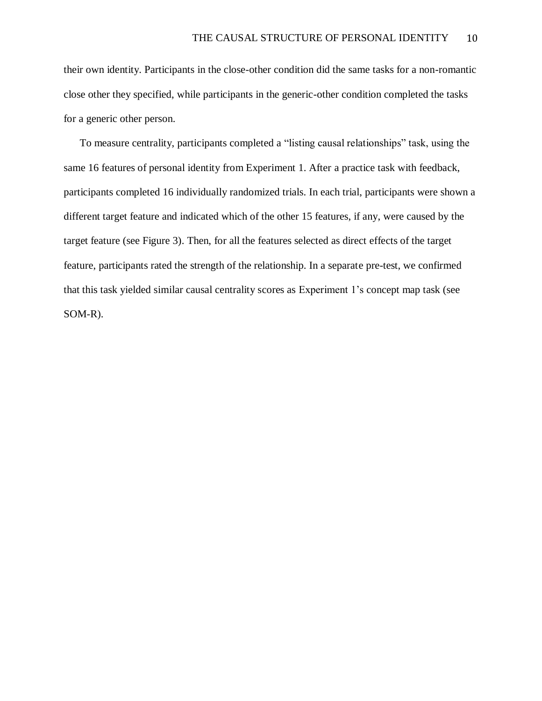their own identity. Participants in the close-other condition did the same tasks for a non-romantic close other they specified, while participants in the generic-other condition completed the tasks for a generic other person.

To measure centrality, participants completed a "listing causal relationships" task, using the same 16 features of personal identity from Experiment 1. After a practice task with feedback, participants completed 16 individually randomized trials. In each trial, participants were shown a different target feature and indicated which of the other 15 features, if any, were caused by the target feature (see Figure 3). Then, for all the features selected as direct effects of the target feature, participants rated the strength of the relationship. In a separate pre-test, we confirmed that this task yielded similar causal centrality scores as Experiment 1's concept map task (see SOM-R).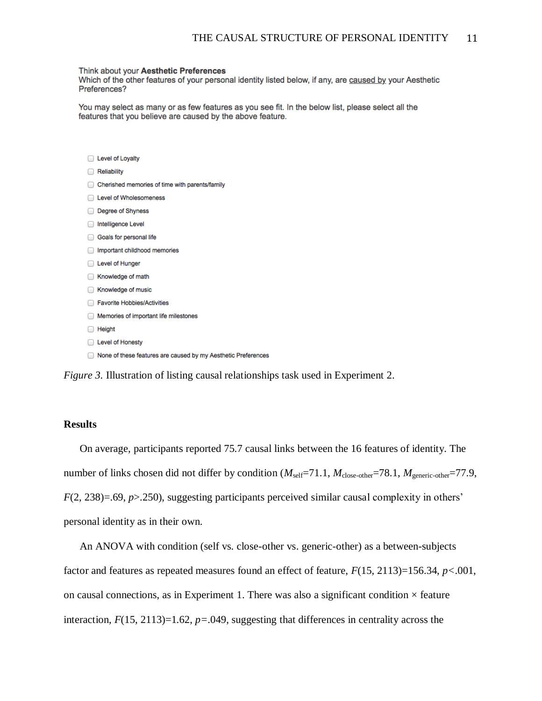#### Think about your Aesthetic Preferences

Which of the other features of your personal identity listed below, if any, are caused by your Aesthetic Preferences?

You may select as many or as few features as you see fit. In the below list, please select all the features that you believe are caused by the above feature.

| Level of Loyalty                                              |
|---------------------------------------------------------------|
| Reliability                                                   |
| Cherished memories of time with parents/family                |
| <b>Level of Wholesomeness</b>                                 |
| Degree of Shyness<br>                                         |
| Intelligence Level                                            |
| Goals for personal life<br><b>COLLEGE</b>                     |
| Important childhood memories                                  |
| Level of Hunger                                               |
| Knowledge of math                                             |
| Knowledge of music                                            |
| <b>Favorite Hobbies/Activities</b>                            |
| Memories of important life milestones                         |
| Height                                                        |
| Level of Honesty                                              |
| None of these features are caused by my Aesthetic Preferences |

*Figure 3.* Illustration of listing causal relationships task used in Experiment 2.

#### **Results**

On average, participants reported 75.7 causal links between the 16 features of identity. The number of links chosen did not differ by condition  $(M_{\text{self}}=71.1, M_{\text{close-other}}=78.1, M_{\text{generic-other}}=77.9,$ *F*(2, 238)=.69, *p*>.250), suggesting participants perceived similar causal complexity in others' personal identity as in their own.

An ANOVA with condition (self vs. close-other vs. generic-other) as a between-subjects factor and features as repeated measures found an effect of feature, *F*(15, 2113)=156.34, *p<*.001, on causal connections, as in Experiment 1. There was also a significant condition  $\times$  feature interaction, *F*(15, 2113)=1.62, *p=*.049, suggesting that differences in centrality across the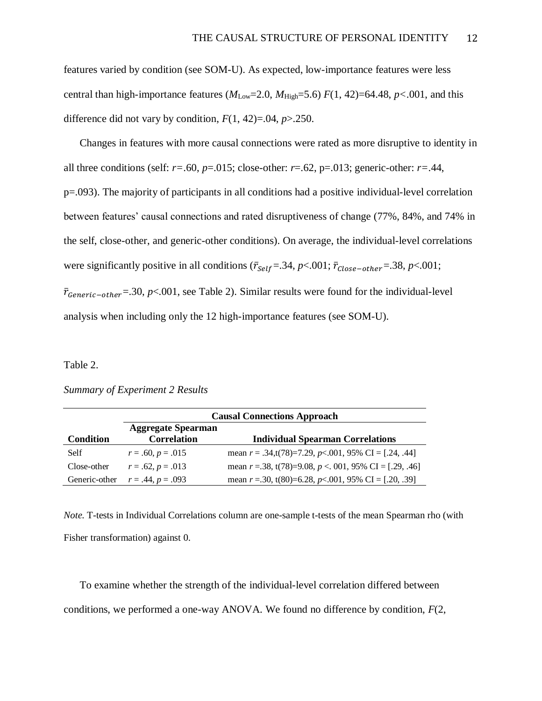features varied by condition (see SOM-U). As expected, low-importance features were less central than high-importance features  $(M_{Low}=2.0, M_{High}=5.6)$   $F(1, 42)=64.48, p<.001$ , and this difference did not vary by condition,  $F(1, 42)=0.04$ ,  $p > 0.250$ .

Changes in features with more causal connections were rated as more disruptive to identity in all three conditions (self:  $r = .60$ ,  $p = .015$ ; close-other:  $r = .62$ ,  $p = .013$ ; generic-other:  $r = .44$ ,

p=.093). The majority of participants in all conditions had a positive individual-level correlation between features' causal connections and rated disruptiveness of change (77%, 84%, and 74% in the self, close-other, and generic-other conditions). On average, the individual-level correlations were significantly positive in all conditions ( $\bar{r}_{Self}$ =.34, *p*<.001;  $\bar{r}_{Close-other}$ =.38, *p*<.001;  $\bar{r}_{\text{Generic}-\text{other}}$ =.30,  $p$ <.001, see Table 2). Similar results were found for the individual-level

analysis when including only the 12 high-importance features (see SOM-U).

#### Table 2.

|                  | <b>Causal Connections Approach</b>   |                                                                 |  |
|------------------|--------------------------------------|-----------------------------------------------------------------|--|
|                  | <b>Aggregate Spearman</b>            |                                                                 |  |
| <b>Condition</b> | <b>Correlation</b>                   | <b>Individual Spearman Correlations</b>                         |  |
| Self             | $r = .60, p = .015$                  | mean $r = .34$ ,t(78)=7.29, $p < .001$ , 95% CI = [.24, .44]    |  |
| Close-other      | $r = .62, p = .013$                  | mean $r = 0.38$ , t(78)=9.08, $p < 0.01$ , 95% CI = [.29, .46]  |  |
|                  | Generic-other $r = .44$ , $p = .093$ | mean $r = 0.30$ , t(80)=6.28, $p < 0.001$ , 95% CI = [.20, .39] |  |

*Summary of Experiment 2 Results*

*Note.* T-tests in Individual Correlations column are one-sample t-tests of the mean Spearman rho (with Fisher transformation) against 0.

To examine whether the strength of the individual-level correlation differed between conditions, we performed a one-way ANOVA. We found no difference by condition, *F*(2,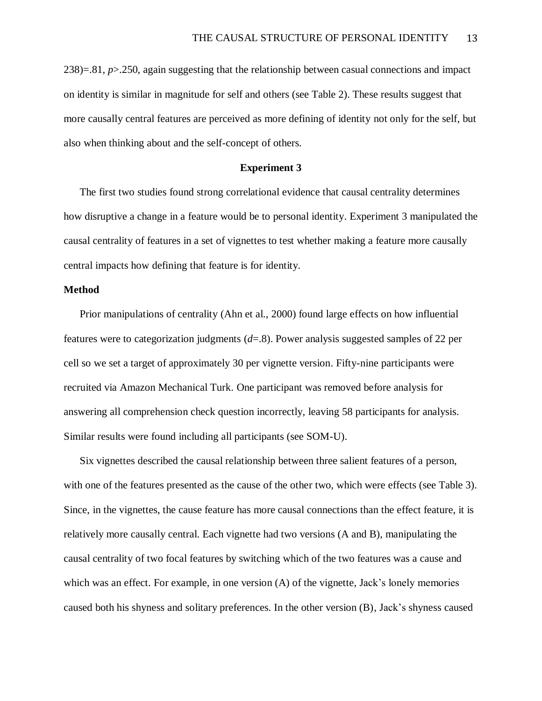238)=.81, *p*>.250, again suggesting that the relationship between casual connections and impact on identity is similar in magnitude for self and others (see Table 2). These results suggest that more causally central features are perceived as more defining of identity not only for the self, but also when thinking about and the self-concept of others.

#### **Experiment 3**

The first two studies found strong correlational evidence that causal centrality determines how disruptive a change in a feature would be to personal identity. Experiment 3 manipulated the causal centrality of features in a set of vignettes to test whether making a feature more causally central impacts how defining that feature is for identity.

#### **Method**

Prior manipulations of centrality (Ahn et al., 2000) found large effects on how influential features were to categorization judgments (*d*=.8). Power analysis suggested samples of 22 per cell so we set a target of approximately 30 per vignette version. Fifty-nine participants were recruited via Amazon Mechanical Turk. One participant was removed before analysis for answering all comprehension check question incorrectly, leaving 58 participants for analysis. Similar results were found including all participants (see SOM-U).

Six vignettes described the causal relationship between three salient features of a person, with one of the features presented as the cause of the other two, which were effects (see Table 3). Since, in the vignettes, the cause feature has more causal connections than the effect feature, it is relatively more causally central. Each vignette had two versions (A and B), manipulating the causal centrality of two focal features by switching which of the two features was a cause and which was an effect. For example, in one version (A) of the vignette, Jack's lonely memories caused both his shyness and solitary preferences. In the other version (B), Jack's shyness caused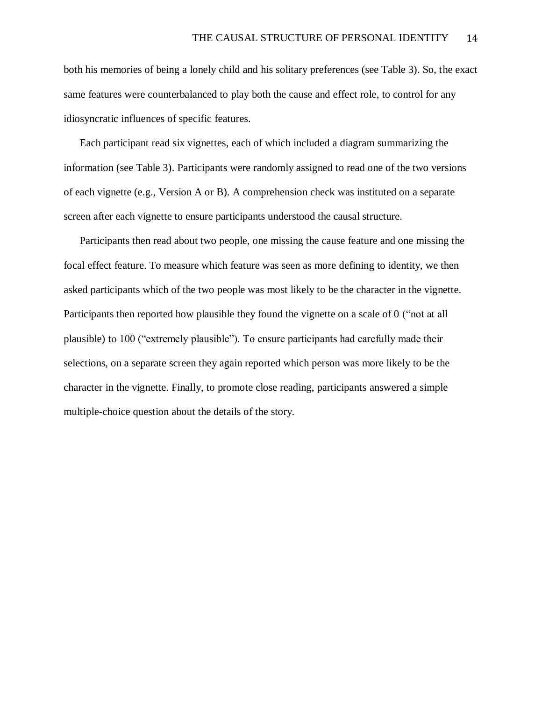both his memories of being a lonely child and his solitary preferences (see Table 3). So, the exact same features were counterbalanced to play both the cause and effect role, to control for any idiosyncratic influences of specific features.

Each participant read six vignettes, each of which included a diagram summarizing the information (see Table 3). Participants were randomly assigned to read one of the two versions of each vignette (e.g., Version A or B). A comprehension check was instituted on a separate screen after each vignette to ensure participants understood the causal structure.

Participants then read about two people, one missing the cause feature and one missing the focal effect feature. To measure which feature was seen as more defining to identity, we then asked participants which of the two people was most likely to be the character in the vignette. Participants then reported how plausible they found the vignette on a scale of 0 ("not at all plausible) to 100 ("extremely plausible"). To ensure participants had carefully made their selections, on a separate screen they again reported which person was more likely to be the character in the vignette. Finally, to promote close reading, participants answered a simple multiple-choice question about the details of the story.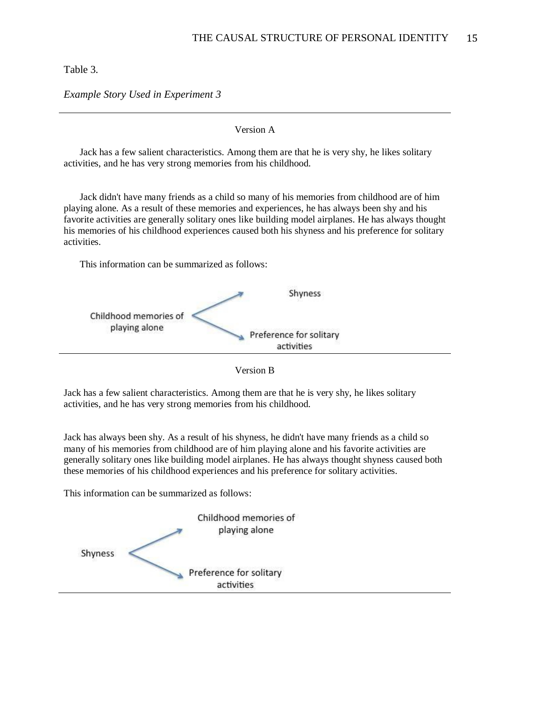Table 3*.*

*Example Story Used in Experiment 3*

Version A

Jack has a few salient characteristics. Among them are that he is very shy, he likes solitary activities, and he has very strong memories from his childhood.

Jack didn't have many friends as a child so many of his memories from childhood are of him playing alone. As a result of these memories and experiences, he has always been shy and his favorite activities are generally solitary ones like building model airplanes. He has always thought his memories of his childhood experiences caused both his shyness and his preference for solitary activities.

This information can be summarized as follows:

|                       | Shyness                 |
|-----------------------|-------------------------|
| Childhood memories of | Preference for solitary |
| playing alone         | activities              |



Jack has a few salient characteristics. Among them are that he is very shy, he likes solitary activities, and he has very strong memories from his childhood.

Jack has always been shy. As a result of his shyness, he didn't have many friends as a child so many of his memories from childhood are of him playing alone and his favorite activities are generally solitary ones like building model airplanes. He has always thought shyness caused both these memories of his childhood experiences and his preference for solitary activities.

This information can be summarized as follows:

Childhood memories of playing alone Shyness Preference for solitary activities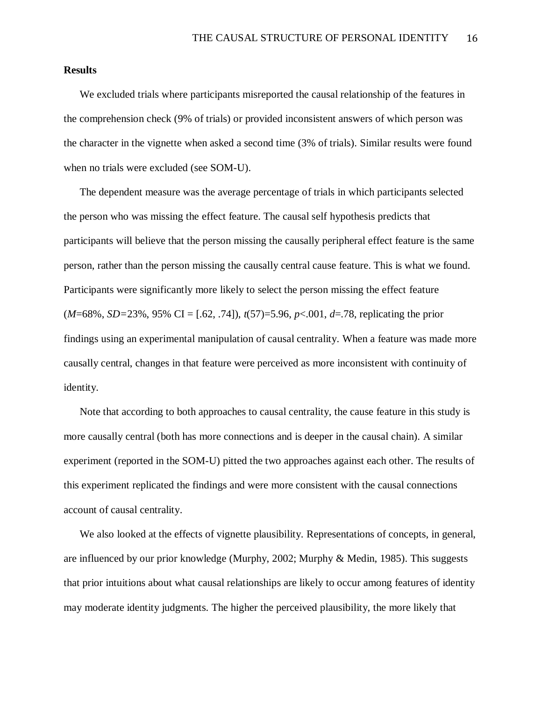#### **Results**

We excluded trials where participants misreported the causal relationship of the features in the comprehension check (9% of trials) or provided inconsistent answers of which person was the character in the vignette when asked a second time (3% of trials). Similar results were found when no trials were excluded (see SOM-U).

The dependent measure was the average percentage of trials in which participants selected the person who was missing the effect feature. The causal self hypothesis predicts that participants will believe that the person missing the causally peripheral effect feature is the same person, rather than the person missing the causally central cause feature. This is what we found. Participants were significantly more likely to select the person missing the effect feature (*M*=68%, *SD=*23%, 95% CI = [.62, .74]), *t*(57)=5.96, *p*<.001, *d*=.78, replicating the prior findings using an experimental manipulation of causal centrality. When a feature was made more causally central, changes in that feature were perceived as more inconsistent with continuity of identity.

Note that according to both approaches to causal centrality, the cause feature in this study is more causally central (both has more connections and is deeper in the causal chain). A similar experiment (reported in the SOM-U) pitted the two approaches against each other. The results of this experiment replicated the findings and were more consistent with the causal connections account of causal centrality.

We also looked at the effects of vignette plausibility. Representations of concepts, in general, are influenced by our prior knowledge (Murphy, 2002; Murphy & Medin, 1985). This suggests that prior intuitions about what causal relationships are likely to occur among features of identity may moderate identity judgments. The higher the perceived plausibility, the more likely that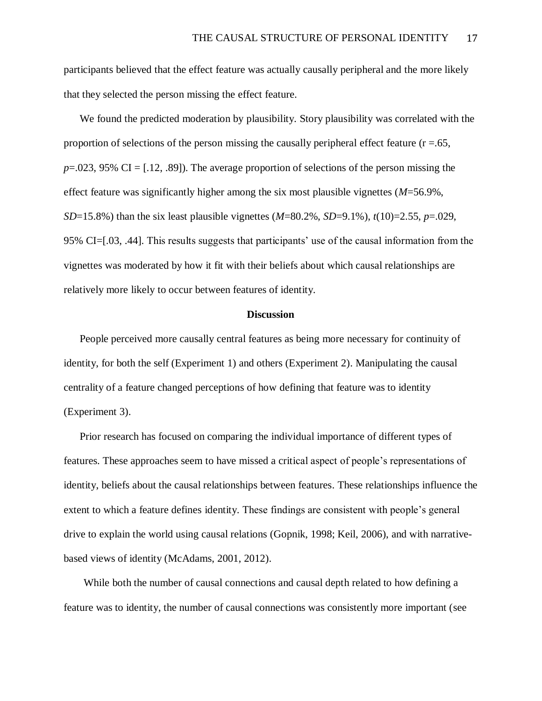participants believed that the effect feature was actually causally peripheral and the more likely that they selected the person missing the effect feature.

We found the predicted moderation by plausibility. Story plausibility was correlated with the proportion of selections of the person missing the causally peripheral effect feature  $(r = .65, )$  $p=0.023$ , 95% CI = [.12, .89]). The average proportion of selections of the person missing the effect feature was significantly higher among the six most plausible vignettes (*M*=56.9%, *SD*=15.8%) than the six least plausible vignettes (*M*=80.2%, *SD*=9.1%), *t*(10)=2.55, *p*=.029, 95% CI=[.03, .44]. This results suggests that participants' use of the causal information from the vignettes was moderated by how it fit with their beliefs about which causal relationships are relatively more likely to occur between features of identity.

#### **Discussion**

People perceived more causally central features as being more necessary for continuity of identity, for both the self (Experiment 1) and others (Experiment 2). Manipulating the causal centrality of a feature changed perceptions of how defining that feature was to identity (Experiment 3).

Prior research has focused on comparing the individual importance of different types of features. These approaches seem to have missed a critical aspect of people's representations of identity, beliefs about the causal relationships between features. These relationships influence the extent to which a feature defines identity. These findings are consistent with people's general drive to explain the world using causal relations (Gopnik, 1998; Keil, 2006), and with narrativebased views of identity (McAdams, 2001, 2012).

While both the number of causal connections and causal depth related to how defining a feature was to identity, the number of causal connections was consistently more important (see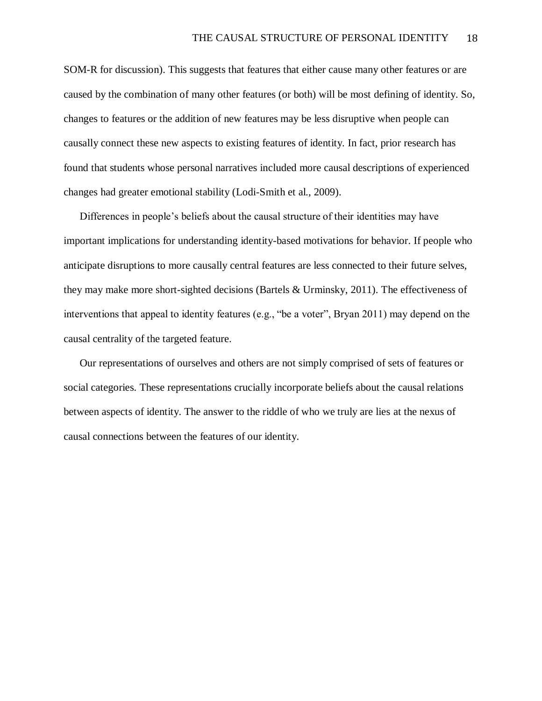SOM-R for discussion). This suggests that features that either cause many other features or are caused by the combination of many other features (or both) will be most defining of identity. So, changes to features or the addition of new features may be less disruptive when people can causally connect these new aspects to existing features of identity. In fact, prior research has found that students whose personal narratives included more causal descriptions of experienced changes had greater emotional stability (Lodi-Smith et al., 2009).

Differences in people's beliefs about the causal structure of their identities may have important implications for understanding identity-based motivations for behavior. If people who anticipate disruptions to more causally central features are less connected to their future selves, they may make more short-sighted decisions (Bartels & Urminsky, 2011). The effectiveness of interventions that appeal to identity features (e.g., "be a voter", Bryan 2011) may depend on the causal centrality of the targeted feature.

Our representations of ourselves and others are not simply comprised of sets of features or social categories. These representations crucially incorporate beliefs about the causal relations between aspects of identity. The answer to the riddle of who we truly are lies at the nexus of causal connections between the features of our identity.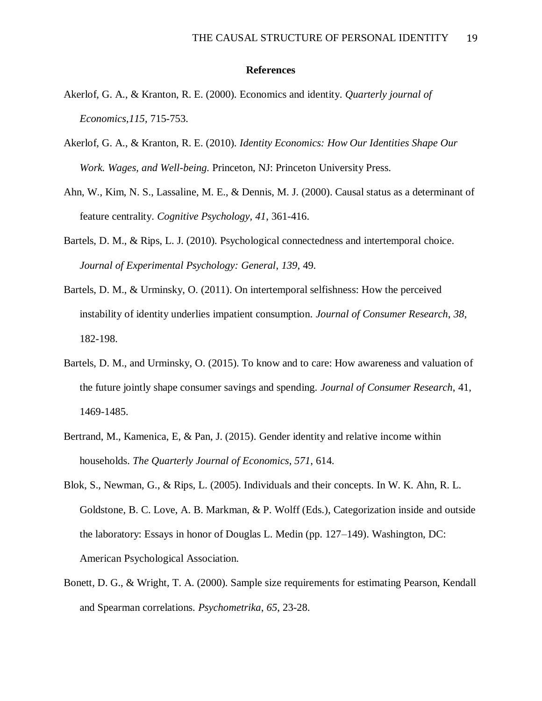#### **References**

- Akerlof, G. A., & Kranton, R. E. (2000). Economics and identity. *Quarterly journal of Economics*,*115*, 715-753.
- Akerlof, G. A., & Kranton, R. E. (2010). *Identity Economics: How Our Identities Shape Our Work. Wages, and Well-being.* Princeton, NJ: Princeton University Press.
- Ahn, W., Kim, N. S., Lassaline, M. E., & Dennis, M. J. (2000). Causal status as a determinant of feature centrality. *Cognitive Psychology, 41*, 361-416.
- Bartels, D. M., & Rips, L. J. (2010). Psychological connectedness and intertemporal choice. *Journal of Experimental Psychology: General*, *139*, 49.
- Bartels, D. M., & Urminsky, O. (2011). On intertemporal selfishness: How the perceived instability of identity underlies impatient consumption. *Journal of Consumer Research*, *38*, 182-198.
- Bartels, D. M., and Urminsky, O. (2015). To know and to care: How awareness and valuation of the future jointly shape consumer savings and spending. *Journal of Consumer Research*, 41, 1469-1485.
- Bertrand, M., Kamenica, E, & Pan, J. (2015). Gender identity and relative income within households. *The Quarterly Journal of Economics*, *571*, 614.
- Blok, S., Newman, G., & Rips, L. (2005). Individuals and their concepts. In W. K. Ahn, R. L. Goldstone, B. C. Love, A. B. Markman, & P. Wolff (Eds.), Categorization inside and outside the laboratory: Essays in honor of Douglas L. Medin (pp. 127–149). Washington, DC: American Psychological Association.
- Bonett, D. G., & Wright, T. A. (2000). Sample size requirements for estimating Pearson, Kendall and Spearman correlations. *Psychometrika*, *65*, 23-28.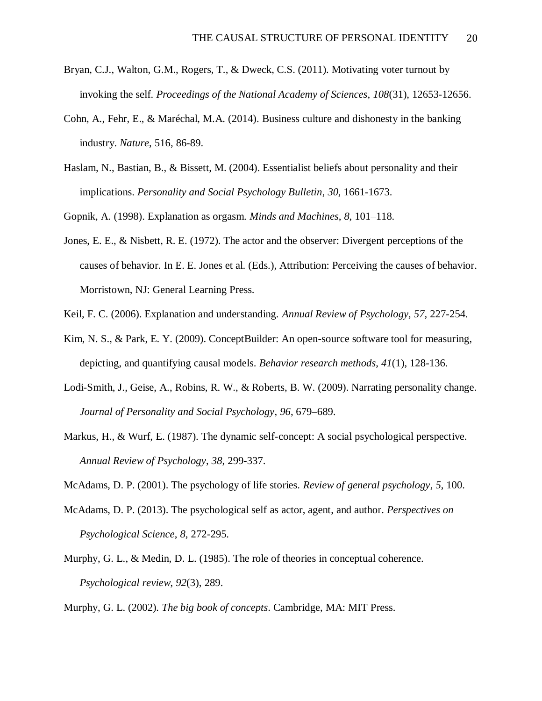- Bryan, C.J., Walton, G.M., Rogers, T., & Dweck, C.S. (2011). Motivating voter turnout by invoking the self. *Proceedings of the National Academy of Sciences*, *108*(31), 12653-12656.
- Cohn, A., Fehr, E., & Maréchal, M.A. (2014). Business culture and dishonesty in the banking industry. *Nature*, 516, 86-89.
- Haslam, N., Bastian, B., & Bissett, M. (2004). Essentialist beliefs about personality and their implications. *Personality and Social Psychology Bulletin*, *30*, 1661-1673.

Gopnik, A. (1998). Explanation as orgasm. *Minds and Machines*, *8*, 101–118.

- Jones, E. E., & Nisbett, R. E. (1972). The actor and the observer: Divergent perceptions of the causes of behavior. In E. E. Jones et al. (Eds.), Attribution: Perceiving the causes of behavior. Morristown, NJ: General Learning Press.
- Keil, F. C. (2006). Explanation and understanding. *Annual Review of Psychology, 57,* 227-254.
- Kim, N. S., & Park, E. Y. (2009). ConceptBuilder: An open-source software tool for measuring, depicting, and quantifying causal models. *Behavior research methods*, *41*(1), 128-136.
- Lodi-Smith, J., Geise, A., Robins, R. W., & Roberts, B. W. (2009). Narrating personality change. *Journal of Personality and Social Psychology*, *96*, 679–689.
- Markus, H., & Wurf, E. (1987). The dynamic self-concept: A social psychological perspective. *Annual Review of Psychology*, *38*, 299-337.
- McAdams, D. P. (2001). The psychology of life stories. *Review of general psychology*, *5*, 100.
- McAdams, D. P. (2013). The psychological self as actor, agent, and author. *Perspectives on Psychological Science*, *8*, 272-295.
- Murphy, G. L., & Medin, D. L. (1985). The role of theories in conceptual coherence. *Psychological review*, *92*(3), 289.
- Murphy, G. L. (2002). *The big book of concepts*. Cambridge, MA: MIT Press.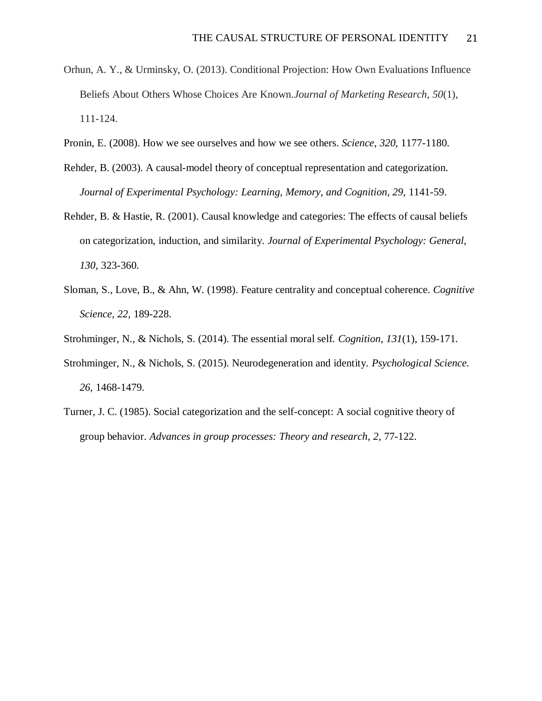- Orhun, A. Y., & Urminsky, O. (2013). Conditional Projection: How Own Evaluations Influence Beliefs About Others Whose Choices Are Known.*Journal of Marketing Research*, *50*(1), 111-124.
- Pronin, E. (2008). How we see ourselves and how we see others. *Science*, *320*, 1177-1180.
- Rehder, B. (2003). A causal-model theory of conceptual representation and categorization. *Journal of Experimental Psychology: Learning, Memory, and Cognition, 29,* 1141-59.
- Rehder, B. & Hastie, R. (2001). Causal knowledge and categories: The effects of causal beliefs on categorization, induction, and similarity. *Journal of Experimental Psychology: General, 130,* 323-360.
- Sloman, S., Love, B., & Ahn, W. (1998). Feature centrality and conceptual coherence. *Cognitive Science, 22,* 189-228.
- Strohminger, N., & Nichols, S. (2014). The essential moral self. *Cognition*, *131*(1), 159-171.
- Strohminger, N., & Nichols, S. (2015). Neurodegeneration and identity. *Psychological Science. 26,* 1468-1479.
- Turner, J. C. (1985). Social categorization and the self-concept: A social cognitive theory of group behavior. *Advances in group processes: Theory and research*, *2*, 77-122.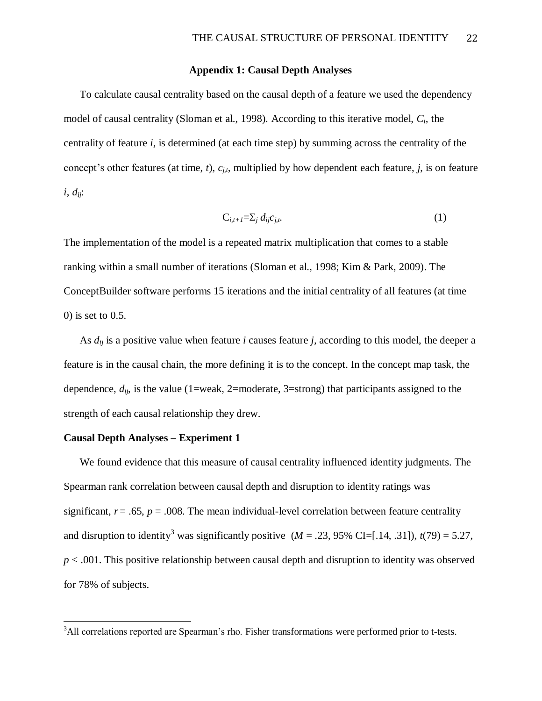#### **Appendix 1: Causal Depth Analyses**

To calculate causal centrality based on the causal depth of a feature we used the dependency model of causal centrality (Sloman et al., 1998). According to this iterative model, *Ci,* the centrality of feature *i*, is determined (at each time step) by summing across the centrality of the concept's other features (at time,  $t$ ),  $c_{j,t}$ , multiplied by how dependent each feature,  $j$ , is on feature *i*, *dij*:

$$
C_{i,t+1}=\sum_{j}d_{ij}c_{j,t}.\tag{1}
$$

The implementation of the model is a repeated matrix multiplication that comes to a stable ranking within a small number of iterations (Sloman et al., 1998; Kim & Park, 2009). The ConceptBuilder software performs 15 iterations and the initial centrality of all features (at time 0) is set to 0.5.

As *dij* is a positive value when feature *i* causes feature *j,* according to this model, the deeper a feature is in the causal chain, the more defining it is to the concept. In the concept map task, the dependence, *dij*, is the value (1=weak, 2=moderate, 3=strong) that participants assigned to the strength of each causal relationship they drew.

#### **Causal Depth Analyses – Experiment 1**

l

We found evidence that this measure of causal centrality influenced identity judgments. The Spearman rank correlation between causal depth and disruption to identity ratings was significant,  $r = .65$ ,  $p = .008$ . The mean individual-level correlation between feature centrality and disruption to identity<sup>3</sup> was significantly positive  $(M = .23, 95\% \text{ CI} = [.14, .31]), t(79) = 5.27,$ *p* < .001. This positive relationship between causal depth and disruption to identity was observed for 78% of subjects.

<sup>&</sup>lt;sup>3</sup>All correlations reported are Spearman's rho. Fisher transformations were performed prior to t-tests.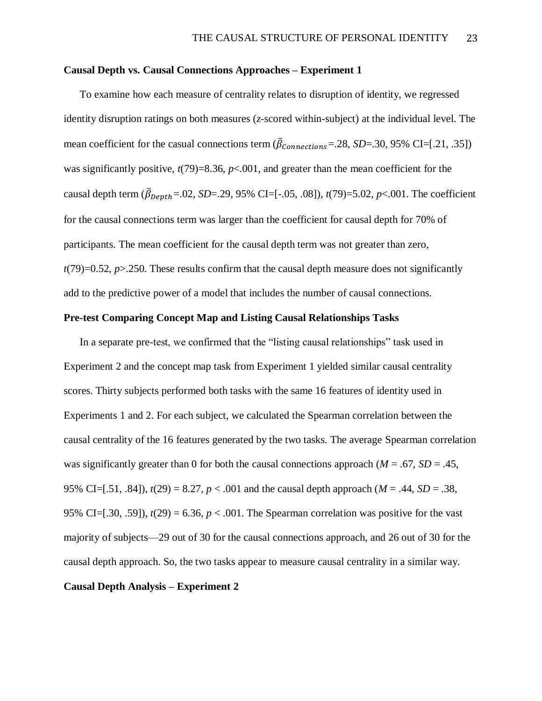#### **Causal Depth vs. Causal Connections Approaches – Experiment 1**

To examine how each measure of centrality relates to disruption of identity, we regressed identity disruption ratings on both measures (*z*-scored within-subject) at the individual level. The mean coefficient for the casual connections term  $(\bar{\beta}_{ connections} = .28, SD = .30, 95\% \text{ CI} = [.21, .35])$ was significantly positive,  $t(79)=8.36$ ,  $p<.001$ , and greater than the mean coefficient for the causal depth term ( $\bar{\beta}_{Depth}$ =.02, *SD*=.29, 95% CI=[-.05, .08]), *t*(79)=5.02, *p*<.001. The coefficient for the causal connections term was larger than the coefficient for causal depth for 70% of participants. The mean coefficient for the causal depth term was not greater than zero, *t*(79)=0.52, *p*>.250. These results confirm that the causal depth measure does not significantly add to the predictive power of a model that includes the number of causal connections.

#### **Pre-test Comparing Concept Map and Listing Causal Relationships Tasks**

In a separate pre-test, we confirmed that the "listing causal relationships" task used in Experiment 2 and the concept map task from Experiment 1 yielded similar causal centrality scores. Thirty subjects performed both tasks with the same 16 features of identity used in Experiments 1 and 2. For each subject, we calculated the Spearman correlation between the causal centrality of the 16 features generated by the two tasks. The average Spearman correlation was significantly greater than 0 for both the causal connections approach ( $M = .67$ ,  $SD = .45$ , 95% CI=[.51, .84]),  $t(29) = 8.27$ ,  $p < .001$  and the causal depth approach ( $M = .44$ ,  $SD = .38$ , 95% CI= $[0.30, 0.59]$ ,  $t(29) = 6.36$ ,  $p < 0.001$ . The Spearman correlation was positive for the vast majority of subjects—29 out of 30 for the causal connections approach, and 26 out of 30 for the causal depth approach. So, the two tasks appear to measure causal centrality in a similar way.

### **Causal Depth Analysis – Experiment 2**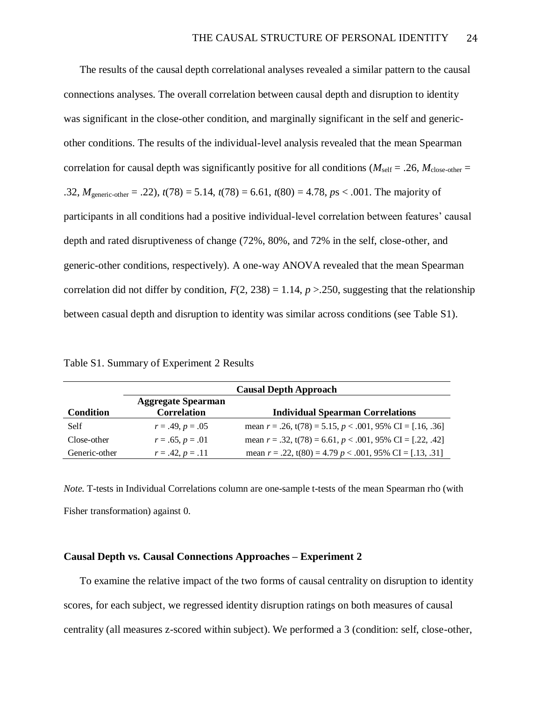The results of the causal depth correlational analyses revealed a similar pattern to the causal connections analyses. The overall correlation between causal depth and disruption to identity was significant in the close-other condition, and marginally significant in the self and genericother conditions. The results of the individual-level analysis revealed that the mean Spearman correlation for causal depth was significantly positive for all conditions ( $M_{\text{self}} = .26$ ,  $M_{\text{close-other}} =$ .32,  $M_{\text{generic-other}} = .22$ ),  $t(78) = 5.14$ ,  $t(78) = 6.61$ ,  $t(80) = 4.78$ ,  $ps < .001$ . The majority of participants in all conditions had a positive individual-level correlation between features' causal depth and rated disruptiveness of change (72%, 80%, and 72% in the self, close-other, and generic-other conditions, respectively). A one-way ANOVA revealed that the mean Spearman correlation did not differ by condition,  $F(2, 238) = 1.14$ ,  $p > 250$ , suggesting that the relationship between casual depth and disruption to identity was similar across conditions (see Table S1).

|                  |                                                 | <b>Causal Depth Approach</b>                                       |
|------------------|-------------------------------------------------|--------------------------------------------------------------------|
| <b>Condition</b> | <b>Aggregate Spearman</b><br><b>Correlation</b> | <b>Individual Spearman Correlations</b>                            |
| <b>Self</b>      | $r = .49, p = .05$                              | mean $r = .26$ , $t(78) = 5.15$ , $p < .001$ , 95% CI = [.16, .36] |
| Close-other      | $r = .65, p = .01$                              | mean $r = .32$ , $t(78) = 6.61$ , $p < .001$ , 95% CI = [.22, .42] |

Table S1. Summary of Experiment 2 Results

*Note.* T-tests in Individual Correlations column are one-sample t-tests of the mean Spearman rho (with Fisher transformation) against 0.

Generic-other  $r = .42$ ,  $p = .11$  mean  $r = .22$ ,  $t(80) = 4.79$   $p < .001$ , 95% CI = [.13, .31]

#### **Causal Depth vs. Causal Connections Approaches – Experiment 2**

To examine the relative impact of the two forms of causal centrality on disruption to identity scores, for each subject, we regressed identity disruption ratings on both measures of causal centrality (all measures z-scored within subject). We performed a 3 (condition: self, close-other,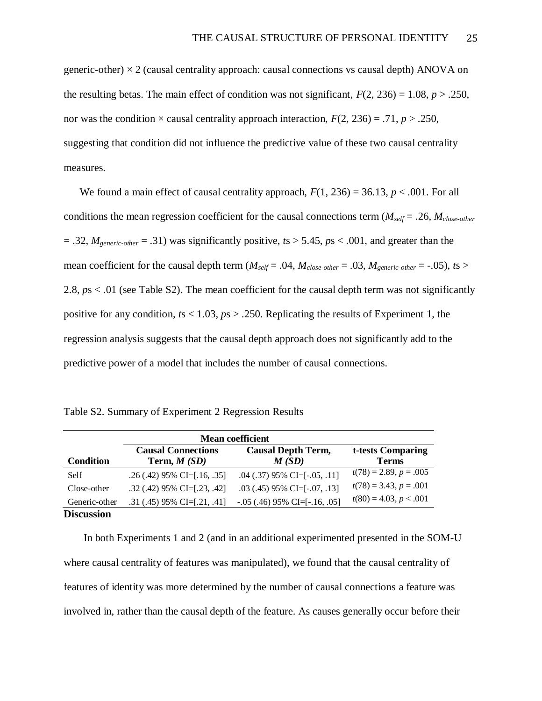generic-other)  $\times$  2 (causal centrality approach: causal connections vs causal depth) ANOVA on the resulting betas. The main effect of condition was not significant,  $F(2, 236) = 1.08$ ,  $p > .250$ , nor was the condition  $\times$  causal centrality approach interaction,  $F(2, 236) = .71$ ,  $p > .250$ , suggesting that condition did not influence the predictive value of these two causal centrality measures.

We found a main effect of causal centrality approach,  $F(1, 236) = 36.13$ ,  $p < .001$ . For all conditions the mean regression coefficient for the causal connections term (*Mself* = .26, *Mclose-other*  $= .32$ ,  $M_{generic\ other} = .31)$  was significantly positive,  $ts > 5.45$ ,  $ps < .001$ , and greater than the mean coefficient for the causal depth term  $(M_{self} = .04, M_{close\}-other = .03, M_{generic\}-other = .05)$ , *t*s > 2.8, *p*s < .01 (see Table S2). The mean coefficient for the causal depth term was not significantly positive for any condition, *t*s < 1.03, *p*s > .250. Replicating the results of Experiment 1, the regression analysis suggests that the causal depth approach does not significantly add to the predictive power of a model that includes the number of causal connections.

|                   | <b>Mean coefficient</b>       |                                    |                          |
|-------------------|-------------------------------|------------------------------------|--------------------------|
|                   | <b>Causal Connections</b>     | <b>Causal Depth Term,</b>          | t-tests Comparing        |
| <b>Condition</b>  | Term, $M(SD)$                 | M(SD)                              | <b>Terms</b>             |
| <b>Self</b>       | $.26(.42)$ 95% CI=[.16, .35]  | .04 (.37) 95% CI= $[-.05, .11]$    | $t(78) = 2.89, p = .005$ |
| Close-other       | $.32$ (.42) 95% CI=[.23, .42] | $.03$ (.45) 95% CI=[-.07, .13]     | $t(78) = 3.43, p = .001$ |
| Generic-other     | $.31(.45)$ 95% CI=[.21, .41]  | $-.05(.46)$ 95% CI=[ $-.16, .05$ ] | $t(80) = 4.03, p < .001$ |
| <b>Discussion</b> |                               |                                    |                          |

In both Experiments 1 and 2 (and in an additional experimented presented in the SOM-U where causal centrality of features was manipulated), we found that the causal centrality of features of identity was more determined by the number of causal connections a feature was involved in, rather than the causal depth of the feature. As causes generally occur before their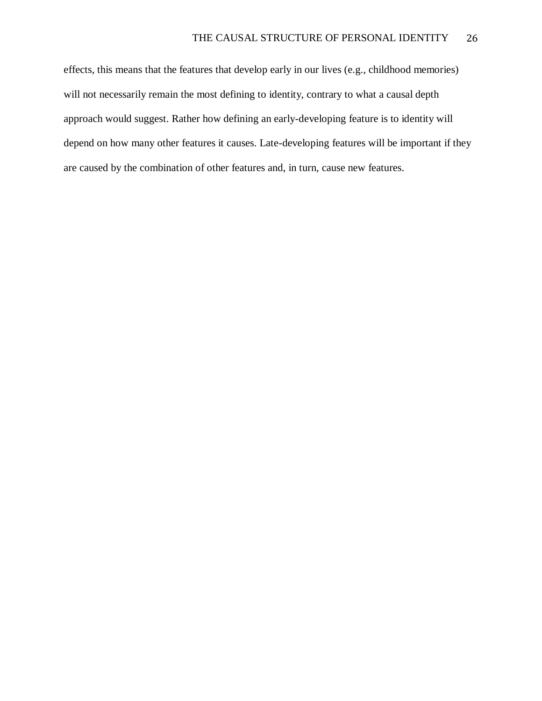effects, this means that the features that develop early in our lives (e.g., childhood memories) will not necessarily remain the most defining to identity, contrary to what a causal depth approach would suggest. Rather how defining an early-developing feature is to identity will depend on how many other features it causes. Late-developing features will be important if they are caused by the combination of other features and, in turn, cause new features.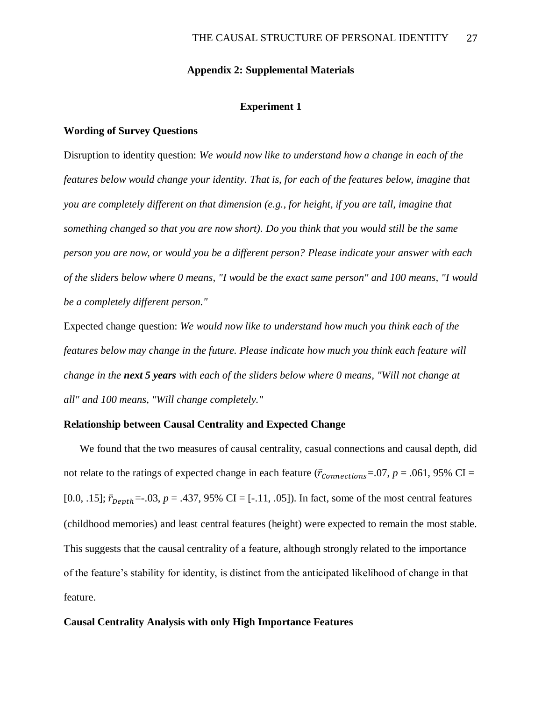#### **Appendix 2: Supplemental Materials**

#### **Experiment 1**

#### **Wording of Survey Questions**

Disruption to identity question: *We would now like to understand how a change in each of the features below would change your identity. That is, for each of the features below, imagine that you are completely different on that dimension (e.g., for height, if you are tall, imagine that something changed so that you are now short). Do you think that you would still be the same person you are now, or would you be a different person? Please indicate your answer with each of the sliders below where 0 means, "I would be the exact same person" and 100 means, "I would be a completely different person."*

Expected change question: *We would now like to understand how much you think each of the features below may change in the future. Please indicate how much you think each feature will change in the next 5 years with each of the sliders below where 0 means, "Will not change at all" and 100 means, "Will change completely."*

#### **Relationship between Causal Centrality and Expected Change**

We found that the two measures of causal centrality, casual connections and causal depth, did not relate to the ratings of expected change in each feature ( $\bar{r}_{\text{connections}} = .07$ ,  $p = .061$ , 95% CI = [0.0, .15];  $\bar{r}_{\text{Depth}}$  = -03,  $p = .437,95\%$  CI = [-.11, .05]). In fact, some of the most central features (childhood memories) and least central features (height) were expected to remain the most stable. This suggests that the causal centrality of a feature, although strongly related to the importance of the feature's stability for identity, is distinct from the anticipated likelihood of change in that feature.

#### **Causal Centrality Analysis with only High Importance Features**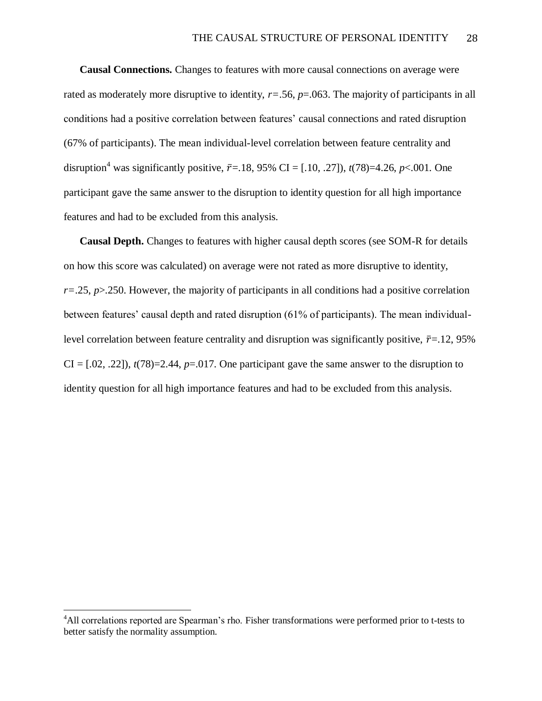**Causal Connections.** Changes to features with more causal connections on average were rated as moderately more disruptive to identity, *r=*.56, *p*=.063. The majority of participants in all conditions had a positive correlation between features' causal connections and rated disruption (67% of participants). The mean individual-level correlation between feature centrality and disruption<sup>4</sup> was significantly positive,  $\bar{r}$ =.18, 95% CI = [.10, .27]),  $t(78)$ =4.26, *p*<.001. One participant gave the same answer to the disruption to identity question for all high importance features and had to be excluded from this analysis.

**Causal Depth.** Changes to features with higher causal depth scores (see SOM-R for details on how this score was calculated) on average were not rated as more disruptive to identity, *r=*.25, *p*>.250. However, the majority of participants in all conditions had a positive correlation between features' causal depth and rated disruption (61% of participants). The mean individuallevel correlation between feature centrality and disruption was significantly positive,  $\bar{r}$ =.12, 95%  $CI = [0.02, 0.22]$ ,  $t(78)=2.44$ ,  $p=.017$ . One participant gave the same answer to the disruption to identity question for all high importance features and had to be excluded from this analysis.

l

<sup>&</sup>lt;sup>4</sup>All correlations reported are Spearman's rho. Fisher transformations were performed prior to t-tests to better satisfy the normality assumption.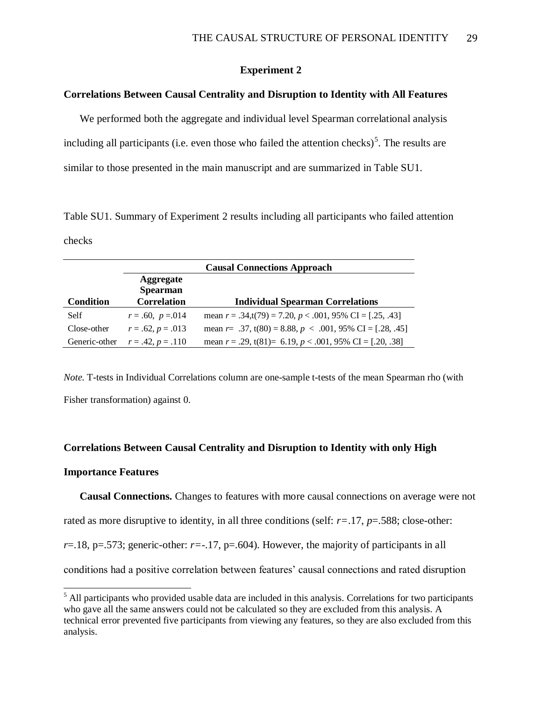### **Experiment 2**

#### **Correlations Between Causal Centrality and Disruption to Identity with All Features**

We performed both the aggregate and individual level Spearman correlational analysis including all participants (i.e. even those who failed the attention checks)<sup>5</sup>. The results are similar to those presented in the main manuscript and are summarized in Table SU1.

Table SU1. Summary of Experiment 2 results including all participants who failed attention checks

|                  | <b>Causal Connections Approach</b>                        |                                                                    |
|------------------|-----------------------------------------------------------|--------------------------------------------------------------------|
| <b>Condition</b> | <b>Aggregate</b><br><b>Spearman</b><br><b>Correlation</b> | <b>Individual Spearman Correlations</b>                            |
|                  |                                                           |                                                                    |
| <b>Self</b>      | $r = .60, p = .014$                                       | mean $r = .34$ ,t(79) = 7.20, $p < .001$ , 95% CI = [.25, .43]     |
| Close-other      | $r = .62, p = .013$                                       | mean $r = .37$ , $t(80) = 8.88$ , $p < .001$ , 95% CI = [.28, .45] |
| Generic-other    | $r = .42, p = .110$                                       | mean $r = .29$ , $t(81) = 6.19$ , $p < .001$ , 95% CI = [.20, .38] |

*Note.* T-tests in Individual Correlations column are one-sample t-tests of the mean Spearman rho (with Fisher transformation) against 0.

# **Correlations Between Causal Centrality and Disruption to Identity with only High Importance Features**

**Causal Connections.** Changes to features with more causal connections on average were not rated as more disruptive to identity, in all three conditions (self:  $r=17$ ,  $p=.588$ ; close-other:  $r=18$ ,  $p=.573$ ; generic-other:  $r=-.17$ ,  $p=.604$ ). However, the majority of participants in all conditions had a positive correlation between features' causal connections and rated disruption

 $\overline{a}$ 

<sup>&</sup>lt;sup>5</sup> All participants who provided usable data are included in this analysis. Correlations for two participants who gave all the same answers could not be calculated so they are excluded from this analysis. A technical error prevented five participants from viewing any features, so they are also excluded from this analysis.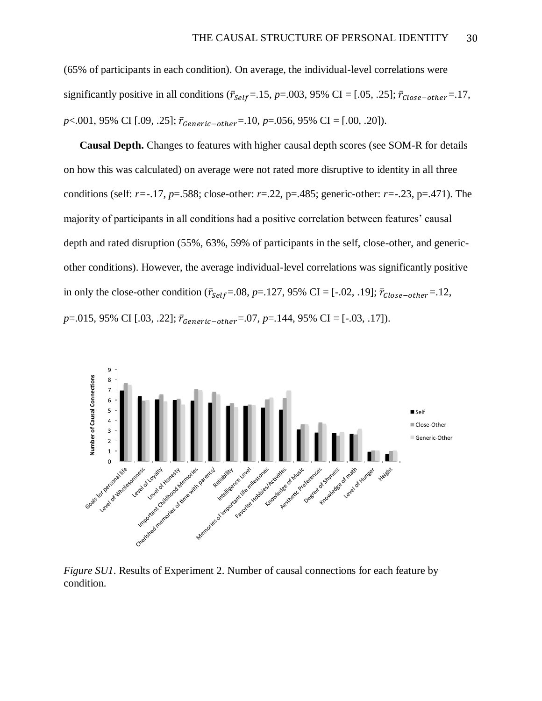(65% of participants in each condition). On average, the individual-level correlations were significantly positive in all conditions ( $\bar{r}_{Self}$ =.15, *p*=.003, 95% CI = [.05, .25];  $\bar{r}_{close-other}$ =.17,  $p<.001$ , 95% CI [.09, .25];  $\bar{r}_{generic-other}$  = 10,  $p$ =.056, 95% CI = [.00, .20]).

**Causal Depth.** Changes to features with higher causal depth scores (see SOM-R for details on how this was calculated) on average were not rated more disruptive to identity in all three conditions (self: *r=-*.17, *p*=.588; close-other: *r*=.22, p=.485; generic-other: *r=*-.23, p=.471). The majority of participants in all conditions had a positive correlation between features' causal depth and rated disruption (55%, 63%, 59% of participants in the self, close-other, and genericother conditions). However, the average individual-level correlations was significantly positive in only the close-other condition ( $\bar{r}_{Self}$ =.08, *p*=.127, 95% CI = [-.02, .19];  $\bar{r}_{close-other}$ =.12,  $p=0.015$ , 95% CI [.03, .22];  $\bar{r}_{generic-other}=0.07$ ,  $p=144$ , 95% CI = [-.03, .17]).



*Figure SU1*. Results of Experiment 2. Number of causal connections for each feature by condition.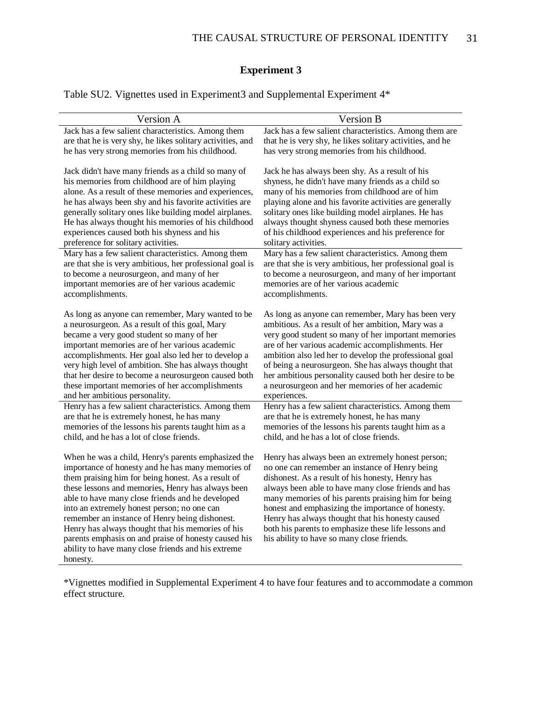## **Experiment 3**

Table SU2. Vignettes used in Experiment3 and Supplemental Experiment 4\*

| Version A                                                                                                                                                                                                                                                                                                                                                                                                                                                                                                                                               | Version B                                                                                                                                                                                                                                                                                                                                                                                                                                                                            |
|---------------------------------------------------------------------------------------------------------------------------------------------------------------------------------------------------------------------------------------------------------------------------------------------------------------------------------------------------------------------------------------------------------------------------------------------------------------------------------------------------------------------------------------------------------|--------------------------------------------------------------------------------------------------------------------------------------------------------------------------------------------------------------------------------------------------------------------------------------------------------------------------------------------------------------------------------------------------------------------------------------------------------------------------------------|
| Jack has a few salient characteristics. Among them                                                                                                                                                                                                                                                                                                                                                                                                                                                                                                      | Jack has a few salient characteristics. Among them are                                                                                                                                                                                                                                                                                                                                                                                                                               |
| are that he is very shy, he likes solitary activities, and                                                                                                                                                                                                                                                                                                                                                                                                                                                                                              | that he is very shy, he likes solitary activities, and he                                                                                                                                                                                                                                                                                                                                                                                                                            |
| he has very strong memories from his childhood.                                                                                                                                                                                                                                                                                                                                                                                                                                                                                                         | has very strong memories from his childhood.                                                                                                                                                                                                                                                                                                                                                                                                                                         |
| Jack didn't have many friends as a child so many of                                                                                                                                                                                                                                                                                                                                                                                                                                                                                                     | Jack he has always been shy. As a result of his                                                                                                                                                                                                                                                                                                                                                                                                                                      |
| his memories from childhood are of him playing                                                                                                                                                                                                                                                                                                                                                                                                                                                                                                          | shyness, he didn't have many friends as a child so                                                                                                                                                                                                                                                                                                                                                                                                                                   |
| alone. As a result of these memories and experiences,                                                                                                                                                                                                                                                                                                                                                                                                                                                                                                   | many of his memories from childhood are of him                                                                                                                                                                                                                                                                                                                                                                                                                                       |
| he has always been shy and his favorite activities are                                                                                                                                                                                                                                                                                                                                                                                                                                                                                                  | playing alone and his favorite activities are generally                                                                                                                                                                                                                                                                                                                                                                                                                              |
| generally solitary ones like building model airplanes.                                                                                                                                                                                                                                                                                                                                                                                                                                                                                                  | solitary ones like building model airplanes. He has                                                                                                                                                                                                                                                                                                                                                                                                                                  |
| He has always thought his memories of his childhood                                                                                                                                                                                                                                                                                                                                                                                                                                                                                                     | always thought shyness caused both these memories                                                                                                                                                                                                                                                                                                                                                                                                                                    |
| experiences caused both his shyness and his                                                                                                                                                                                                                                                                                                                                                                                                                                                                                                             | of his childhood experiences and his preference for                                                                                                                                                                                                                                                                                                                                                                                                                                  |
| preference for solitary activities.                                                                                                                                                                                                                                                                                                                                                                                                                                                                                                                     | solitary activities.                                                                                                                                                                                                                                                                                                                                                                                                                                                                 |
| Mary has a few salient characteristics. Among them                                                                                                                                                                                                                                                                                                                                                                                                                                                                                                      | Mary has a few salient characteristics. Among them                                                                                                                                                                                                                                                                                                                                                                                                                                   |
| are that she is very ambitious, her professional goal is                                                                                                                                                                                                                                                                                                                                                                                                                                                                                                | are that she is very ambitious, her professional goal is                                                                                                                                                                                                                                                                                                                                                                                                                             |
| to become a neurosurgeon, and many of her                                                                                                                                                                                                                                                                                                                                                                                                                                                                                                               | to become a neurosurgeon, and many of her important                                                                                                                                                                                                                                                                                                                                                                                                                                  |
| important memories are of her various academic                                                                                                                                                                                                                                                                                                                                                                                                                                                                                                          | memories are of her various academic                                                                                                                                                                                                                                                                                                                                                                                                                                                 |
| accomplishments.                                                                                                                                                                                                                                                                                                                                                                                                                                                                                                                                        | accomplishments.                                                                                                                                                                                                                                                                                                                                                                                                                                                                     |
| As long as anyone can remember, Mary wanted to be                                                                                                                                                                                                                                                                                                                                                                                                                                                                                                       | As long as anyone can remember, Mary has been very                                                                                                                                                                                                                                                                                                                                                                                                                                   |
| a neurosurgeon. As a result of this goal, Mary                                                                                                                                                                                                                                                                                                                                                                                                                                                                                                          | ambitious. As a result of her ambition, Mary was a                                                                                                                                                                                                                                                                                                                                                                                                                                   |
| became a very good student so many of her                                                                                                                                                                                                                                                                                                                                                                                                                                                                                                               | very good student so many of her important memories                                                                                                                                                                                                                                                                                                                                                                                                                                  |
| important memories are of her various academic                                                                                                                                                                                                                                                                                                                                                                                                                                                                                                          | are of her various academic accomplishments. Her                                                                                                                                                                                                                                                                                                                                                                                                                                     |
| accomplishments. Her goal also led her to develop a                                                                                                                                                                                                                                                                                                                                                                                                                                                                                                     | ambition also led her to develop the professional goal                                                                                                                                                                                                                                                                                                                                                                                                                               |
| very high level of ambition. She has always thought                                                                                                                                                                                                                                                                                                                                                                                                                                                                                                     | of being a neurosurgeon. She has always thought that                                                                                                                                                                                                                                                                                                                                                                                                                                 |
| that her desire to become a neurosurgeon caused both                                                                                                                                                                                                                                                                                                                                                                                                                                                                                                    | her ambitious personality caused both her desire to be                                                                                                                                                                                                                                                                                                                                                                                                                               |
| these important memories of her accomplishments                                                                                                                                                                                                                                                                                                                                                                                                                                                                                                         | a neurosurgeon and her memories of her academic                                                                                                                                                                                                                                                                                                                                                                                                                                      |
| and her ambitious personality.                                                                                                                                                                                                                                                                                                                                                                                                                                                                                                                          | experiences.                                                                                                                                                                                                                                                                                                                                                                                                                                                                         |
| Henry has a few salient characteristics. Among them                                                                                                                                                                                                                                                                                                                                                                                                                                                                                                     | Henry has a few salient characteristics. Among them                                                                                                                                                                                                                                                                                                                                                                                                                                  |
| are that he is extremely honest, he has many                                                                                                                                                                                                                                                                                                                                                                                                                                                                                                            | are that he is extremely honest, he has many                                                                                                                                                                                                                                                                                                                                                                                                                                         |
| memories of the lessons his parents taught him as a                                                                                                                                                                                                                                                                                                                                                                                                                                                                                                     | memories of the lessons his parents taught him as a                                                                                                                                                                                                                                                                                                                                                                                                                                  |
| child, and he has a lot of close friends.                                                                                                                                                                                                                                                                                                                                                                                                                                                                                                               | child, and he has a lot of close friends.                                                                                                                                                                                                                                                                                                                                                                                                                                            |
| When he was a child, Henry's parents emphasized the<br>importance of honesty and he has many memories of<br>them praising him for being honest. As a result of<br>these lessons and memories, Henry has always been<br>able to have many close friends and he developed<br>into an extremely honest person; no one can<br>remember an instance of Henry being dishonest.<br>Henry has always thought that his memories of his<br>parents emphasis on and praise of honesty caused his<br>ability to have many close friends and his extreme<br>honesty. | Henry has always been an extremely honest person;<br>no one can remember an instance of Henry being<br>dishonest. As a result of his honesty, Henry has<br>always been able to have many close friends and has<br>many memories of his parents praising him for being<br>honest and emphasizing the importance of honesty.<br>Henry has always thought that his honesty caused<br>both his parents to emphasize these life lessons and<br>his ability to have so many close friends. |

\*Vignettes modified in Supplemental Experiment 4 to have four features and to accommodate a common effect structure.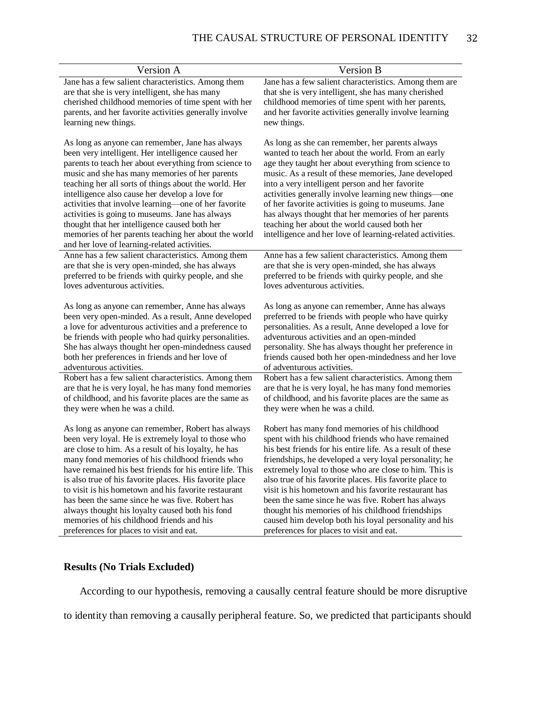| Version A                                                                                                                                                                                                                                                                                                                                                                                                                                                                                                                                                                                       | Version B                                                                                                                                                                                                                                                                                                                                                                                                                                                                                                                                                    |
|-------------------------------------------------------------------------------------------------------------------------------------------------------------------------------------------------------------------------------------------------------------------------------------------------------------------------------------------------------------------------------------------------------------------------------------------------------------------------------------------------------------------------------------------------------------------------------------------------|--------------------------------------------------------------------------------------------------------------------------------------------------------------------------------------------------------------------------------------------------------------------------------------------------------------------------------------------------------------------------------------------------------------------------------------------------------------------------------------------------------------------------------------------------------------|
| Jane has a few salient characteristics. Among them                                                                                                                                                                                                                                                                                                                                                                                                                                                                                                                                              | Jane has a few salient characteristics. Among them are                                                                                                                                                                                                                                                                                                                                                                                                                                                                                                       |
| are that she is very intelligent, she has many                                                                                                                                                                                                                                                                                                                                                                                                                                                                                                                                                  | that she is very intelligent, she has many cherished                                                                                                                                                                                                                                                                                                                                                                                                                                                                                                         |
| cherished childhood memories of time spent with her                                                                                                                                                                                                                                                                                                                                                                                                                                                                                                                                             | childhood memories of time spent with her parents,                                                                                                                                                                                                                                                                                                                                                                                                                                                                                                           |
| parents, and her favorite activities generally involve                                                                                                                                                                                                                                                                                                                                                                                                                                                                                                                                          | and her favorite activities generally involve learning                                                                                                                                                                                                                                                                                                                                                                                                                                                                                                       |
| learning new things.                                                                                                                                                                                                                                                                                                                                                                                                                                                                                                                                                                            | new things.                                                                                                                                                                                                                                                                                                                                                                                                                                                                                                                                                  |
| As long as anyone can remember, Jane has always<br>been very intelligent. Her intelligence caused her<br>parents to teach her about everything from science to<br>music and she has many memories of her parents<br>teaching her all sorts of things about the world. Her<br>intelligence also cause her develop a love for<br>activities that involve learning-one of her favorite<br>activities is going to museums. Jane has always<br>thought that her intelligence caused both her<br>memories of her parents teaching her about the world<br>and her love of learning-related activities. | As long as she can remember, her parents always<br>wanted to teach her about the world. From an early<br>age they taught her about everything from science to<br>music. As a result of these memories, Jane developed<br>into a very intelligent person and her favorite<br>activities generally involve learning new things-one<br>of her favorite activities is going to museums. Jane<br>has always thought that her memories of her parents<br>teaching her about the world caused both her<br>intelligence and her love of learning-related activities. |
| Anne has a few salient characteristics. Among them                                                                                                                                                                                                                                                                                                                                                                                                                                                                                                                                              | Anne has a few salient characteristics. Among them                                                                                                                                                                                                                                                                                                                                                                                                                                                                                                           |
| are that she is very open-minded, she has always                                                                                                                                                                                                                                                                                                                                                                                                                                                                                                                                                | are that she is very open-minded, she has always                                                                                                                                                                                                                                                                                                                                                                                                                                                                                                             |
| preferred to be friends with quirky people, and she                                                                                                                                                                                                                                                                                                                                                                                                                                                                                                                                             | preferred to be friends with quirky people, and she                                                                                                                                                                                                                                                                                                                                                                                                                                                                                                          |
| loves adventurous activities.                                                                                                                                                                                                                                                                                                                                                                                                                                                                                                                                                                   | loves adventurous activities.                                                                                                                                                                                                                                                                                                                                                                                                                                                                                                                                |
| As long as anyone can remember, Anne has always                                                                                                                                                                                                                                                                                                                                                                                                                                                                                                                                                 | As long as anyone can remember, Anne has always                                                                                                                                                                                                                                                                                                                                                                                                                                                                                                              |
| been very open-minded. As a result, Anne developed                                                                                                                                                                                                                                                                                                                                                                                                                                                                                                                                              | preferred to be friends with people who have quirky                                                                                                                                                                                                                                                                                                                                                                                                                                                                                                          |
| a love for adventurous activities and a preference to                                                                                                                                                                                                                                                                                                                                                                                                                                                                                                                                           | personalities. As a result, Anne developed a love for                                                                                                                                                                                                                                                                                                                                                                                                                                                                                                        |
| be friends with people who had quirky personalities.                                                                                                                                                                                                                                                                                                                                                                                                                                                                                                                                            | adventurous activities and an open-minded                                                                                                                                                                                                                                                                                                                                                                                                                                                                                                                    |
| She has always thought her open-mindedness caused                                                                                                                                                                                                                                                                                                                                                                                                                                                                                                                                               | personality. She has always thought her preference in                                                                                                                                                                                                                                                                                                                                                                                                                                                                                                        |
| both her preferences in friends and her love of                                                                                                                                                                                                                                                                                                                                                                                                                                                                                                                                                 | friends caused both her open-mindedness and her love                                                                                                                                                                                                                                                                                                                                                                                                                                                                                                         |
| adventurous activities.                                                                                                                                                                                                                                                                                                                                                                                                                                                                                                                                                                         | of adventurous activities.                                                                                                                                                                                                                                                                                                                                                                                                                                                                                                                                   |
| Robert has a few salient characteristics. Among them                                                                                                                                                                                                                                                                                                                                                                                                                                                                                                                                            | Robert has a few salient characteristics. Among them                                                                                                                                                                                                                                                                                                                                                                                                                                                                                                         |
| are that he is very loyal, he has many fond memories                                                                                                                                                                                                                                                                                                                                                                                                                                                                                                                                            | are that he is very loyal, he has many fond memories                                                                                                                                                                                                                                                                                                                                                                                                                                                                                                         |
| of childhood, and his favorite places are the same as                                                                                                                                                                                                                                                                                                                                                                                                                                                                                                                                           | of childhood, and his favorite places are the same as                                                                                                                                                                                                                                                                                                                                                                                                                                                                                                        |
| they were when he was a child.                                                                                                                                                                                                                                                                                                                                                                                                                                                                                                                                                                  | they were when he was a child.                                                                                                                                                                                                                                                                                                                                                                                                                                                                                                                               |
| As long as anyone can remember, Robert has always                                                                                                                                                                                                                                                                                                                                                                                                                                                                                                                                               | Robert has many fond memories of his childhood                                                                                                                                                                                                                                                                                                                                                                                                                                                                                                               |
| been very loyal. He is extremely loyal to those who                                                                                                                                                                                                                                                                                                                                                                                                                                                                                                                                             | spent with his childhood friends who have remained                                                                                                                                                                                                                                                                                                                                                                                                                                                                                                           |
| are close to him. As a result of his loyalty, he has                                                                                                                                                                                                                                                                                                                                                                                                                                                                                                                                            | his best friends for his entire life. As a result of these                                                                                                                                                                                                                                                                                                                                                                                                                                                                                                   |
| many fond memories of his childhood friends who                                                                                                                                                                                                                                                                                                                                                                                                                                                                                                                                                 | friendships, he developed a very loyal personality; he                                                                                                                                                                                                                                                                                                                                                                                                                                                                                                       |
| have remained his best friends for his entire life. This                                                                                                                                                                                                                                                                                                                                                                                                                                                                                                                                        | extremely loyal to those who are close to him. This is                                                                                                                                                                                                                                                                                                                                                                                                                                                                                                       |
| is also true of his favorite places. His favorite place                                                                                                                                                                                                                                                                                                                                                                                                                                                                                                                                         | also true of his favorite places. His favorite place to                                                                                                                                                                                                                                                                                                                                                                                                                                                                                                      |
| to visit is his hometown and his favorite restaurant                                                                                                                                                                                                                                                                                                                                                                                                                                                                                                                                            | visit is his hometown and his favorite restaurant has                                                                                                                                                                                                                                                                                                                                                                                                                                                                                                        |
| has been the same since he was five. Robert has                                                                                                                                                                                                                                                                                                                                                                                                                                                                                                                                                 | been the same since he was five. Robert has always                                                                                                                                                                                                                                                                                                                                                                                                                                                                                                           |
| always thought his loyalty caused both his fond                                                                                                                                                                                                                                                                                                                                                                                                                                                                                                                                                 | thought his memories of his childhood friendships                                                                                                                                                                                                                                                                                                                                                                                                                                                                                                            |
| memories of his childhood friends and his                                                                                                                                                                                                                                                                                                                                                                                                                                                                                                                                                       | caused him develop both his loyal personality and his                                                                                                                                                                                                                                                                                                                                                                                                                                                                                                        |
| preferences for places to visit and eat.                                                                                                                                                                                                                                                                                                                                                                                                                                                                                                                                                        | preferences for places to visit and eat.                                                                                                                                                                                                                                                                                                                                                                                                                                                                                                                     |

## **Results (No Trials Excluded)**

According to our hypothesis, removing a causally central feature should be more disruptive

to identity than removing a causally peripheral feature. So, we predicted that participants should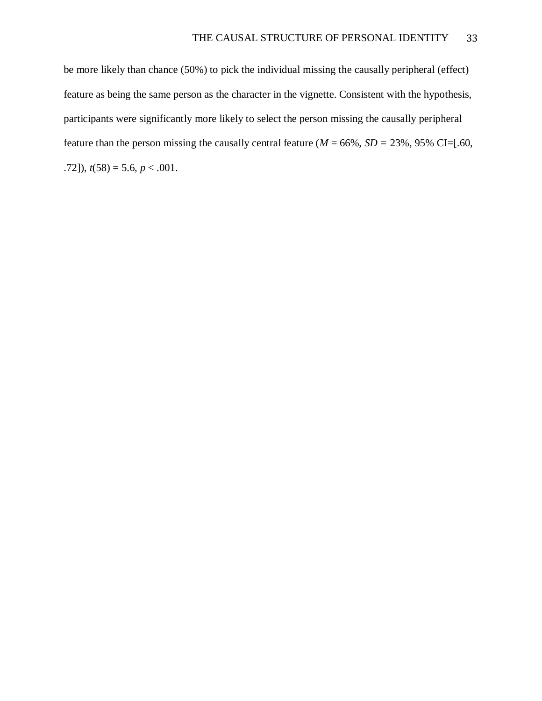be more likely than chance (50%) to pick the individual missing the causally peripheral (effect) feature as being the same person as the character in the vignette. Consistent with the hypothesis, participants were significantly more likely to select the person missing the causally peripheral feature than the person missing the causally central feature ( $M = 66\%$ ,  $SD = 23\%$ , 95% CI=[.60, .72]),  $t(58) = 5.6, p < .001$ .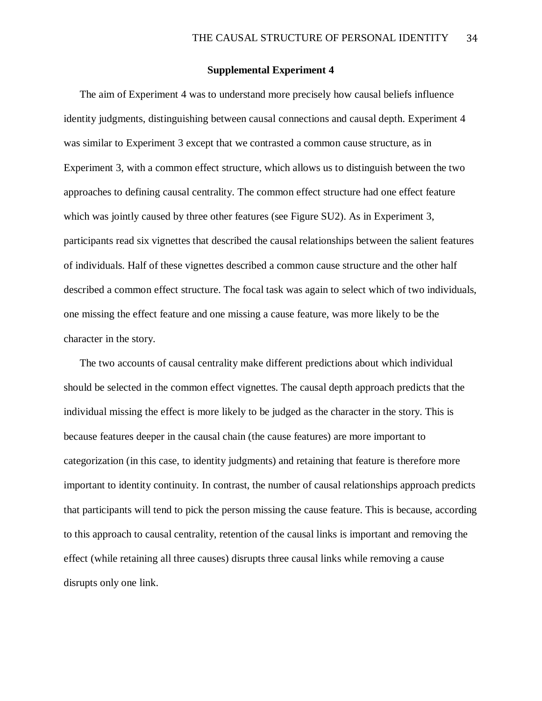#### **Supplemental Experiment 4**

The aim of Experiment 4 was to understand more precisely how causal beliefs influence identity judgments, distinguishing between causal connections and causal depth. Experiment 4 was similar to Experiment 3 except that we contrasted a common cause structure, as in Experiment 3, with a common effect structure, which allows us to distinguish between the two approaches to defining causal centrality. The common effect structure had one effect feature which was jointly caused by three other features (see Figure SU2). As in Experiment 3, participants read six vignettes that described the causal relationships between the salient features of individuals. Half of these vignettes described a common cause structure and the other half described a common effect structure. The focal task was again to select which of two individuals, one missing the effect feature and one missing a cause feature, was more likely to be the character in the story.

The two accounts of causal centrality make different predictions about which individual should be selected in the common effect vignettes. The causal depth approach predicts that the individual missing the effect is more likely to be judged as the character in the story. This is because features deeper in the causal chain (the cause features) are more important to categorization (in this case, to identity judgments) and retaining that feature is therefore more important to identity continuity. In contrast, the number of causal relationships approach predicts that participants will tend to pick the person missing the cause feature. This is because, according to this approach to causal centrality, retention of the causal links is important and removing the effect (while retaining all three causes) disrupts three causal links while removing a cause disrupts only one link.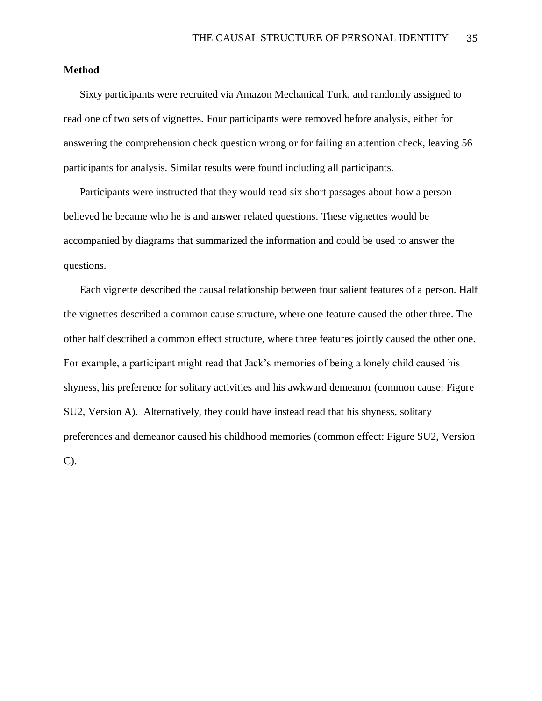#### **Method**

Sixty participants were recruited via Amazon Mechanical Turk, and randomly assigned to read one of two sets of vignettes. Four participants were removed before analysis, either for answering the comprehension check question wrong or for failing an attention check, leaving 56 participants for analysis. Similar results were found including all participants.

Participants were instructed that they would read six short passages about how a person believed he became who he is and answer related questions. These vignettes would be accompanied by diagrams that summarized the information and could be used to answer the questions.

Each vignette described the causal relationship between four salient features of a person. Half the vignettes described a common cause structure, where one feature caused the other three. The other half described a common effect structure, where three features jointly caused the other one. For example, a participant might read that Jack's memories of being a lonely child caused his shyness, his preference for solitary activities and his awkward demeanor (common cause: Figure SU2, Version A). Alternatively, they could have instead read that his shyness, solitary preferences and demeanor caused his childhood memories (common effect: Figure SU2, Version C).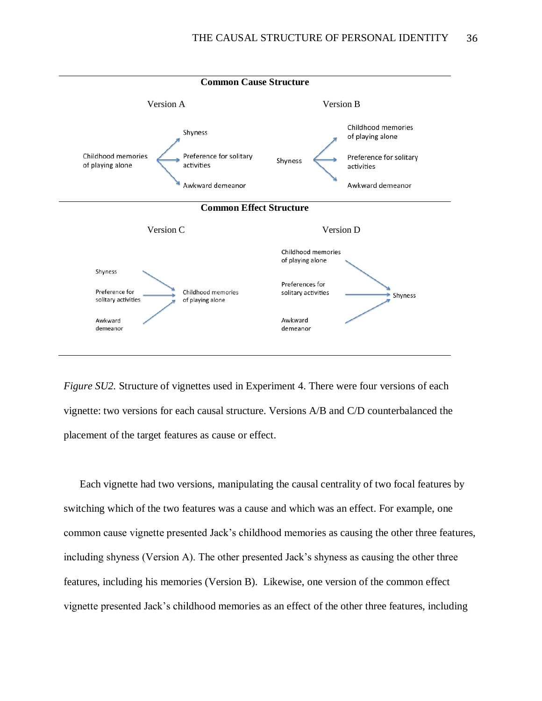

*Figure SU2.* Structure of vignettes used in Experiment 4. There were four versions of each vignette: two versions for each causal structure. Versions A/B and C/D counterbalanced the placement of the target features as cause or effect.

Each vignette had two versions, manipulating the causal centrality of two focal features by switching which of the two features was a cause and which was an effect. For example, one common cause vignette presented Jack's childhood memories as causing the other three features, including shyness (Version A). The other presented Jack's shyness as causing the other three features, including his memories (Version B). Likewise, one version of the common effect vignette presented Jack's childhood memories as an effect of the other three features, including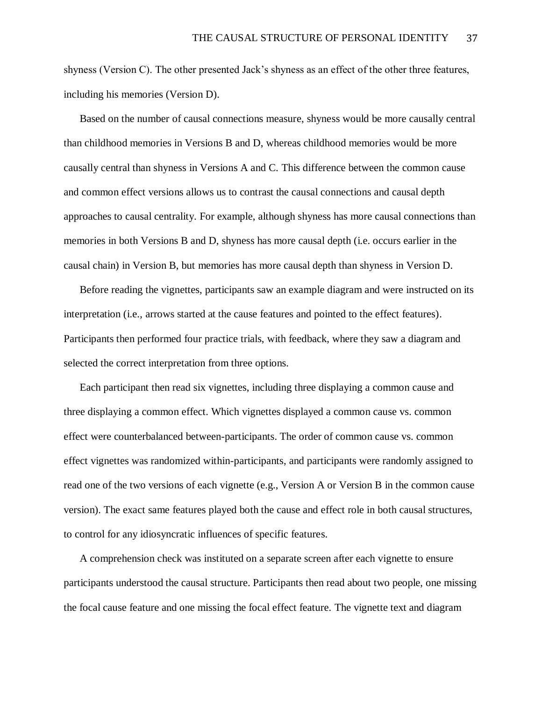shyness (Version C). The other presented Jack's shyness as an effect of the other three features, including his memories (Version D).

Based on the number of causal connections measure, shyness would be more causally central than childhood memories in Versions B and D, whereas childhood memories would be more causally central than shyness in Versions A and C. This difference between the common cause and common effect versions allows us to contrast the causal connections and causal depth approaches to causal centrality. For example, although shyness has more causal connections than memories in both Versions B and D, shyness has more causal depth (i.e. occurs earlier in the causal chain) in Version B, but memories has more causal depth than shyness in Version D.

Before reading the vignettes, participants saw an example diagram and were instructed on its interpretation (i.e., arrows started at the cause features and pointed to the effect features). Participants then performed four practice trials, with feedback, where they saw a diagram and selected the correct interpretation from three options.

Each participant then read six vignettes, including three displaying a common cause and three displaying a common effect. Which vignettes displayed a common cause vs. common effect were counterbalanced between-participants. The order of common cause vs. common effect vignettes was randomized within-participants, and participants were randomly assigned to read one of the two versions of each vignette (e.g., Version A or Version B in the common cause version). The exact same features played both the cause and effect role in both causal structures, to control for any idiosyncratic influences of specific features.

A comprehension check was instituted on a separate screen after each vignette to ensure participants understood the causal structure. Participants then read about two people, one missing the focal cause feature and one missing the focal effect feature. The vignette text and diagram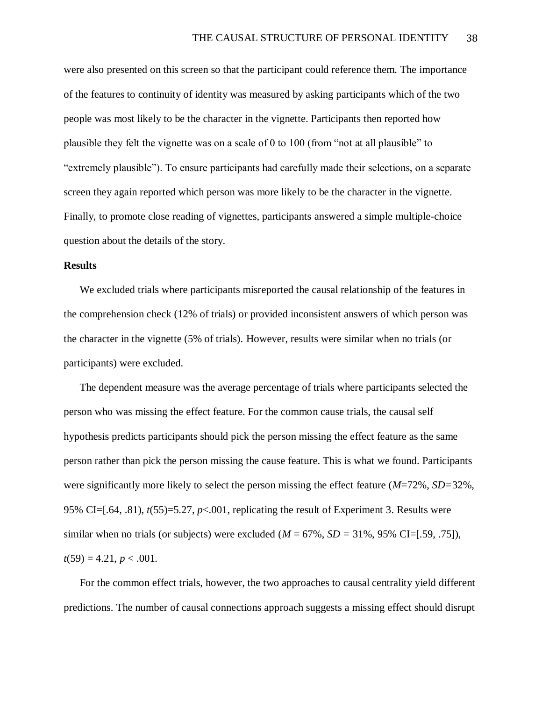were also presented on this screen so that the participant could reference them. The importance of the features to continuity of identity was measured by asking participants which of the two people was most likely to be the character in the vignette. Participants then reported how plausible they felt the vignette was on a scale of 0 to 100 (from "not at all plausible" to "extremely plausible"). To ensure participants had carefully made their selections, on a separate screen they again reported which person was more likely to be the character in the vignette. Finally, to promote close reading of vignettes, participants answered a simple multiple-choice question about the details of the story.

#### **Results**

We excluded trials where participants misreported the causal relationship of the features in the comprehension check (12% of trials) or provided inconsistent answers of which person was the character in the vignette (5% of trials). However, results were similar when no trials (or participants) were excluded.

The dependent measure was the average percentage of trials where participants selected the person who was missing the effect feature. For the common cause trials, the causal self hypothesis predicts participants should pick the person missing the effect feature as the same person rather than pick the person missing the cause feature. This is what we found. Participants were significantly more likely to select the person missing the effect feature (*M*=72%, *SD=*32%, 95% CI=[.64, .81), *t*(55)=5.27, *p*<.001, replicating the result of Experiment 3. Results were similar when no trials (or subjects) were excluded ( $M = 67\%$ ,  $SD = 31\%$ , 95% CI=[.59, .75]),  $t(59) = 4.21, p < .001.$ 

For the common effect trials, however, the two approaches to causal centrality yield different predictions. The number of causal connections approach suggests a missing effect should disrupt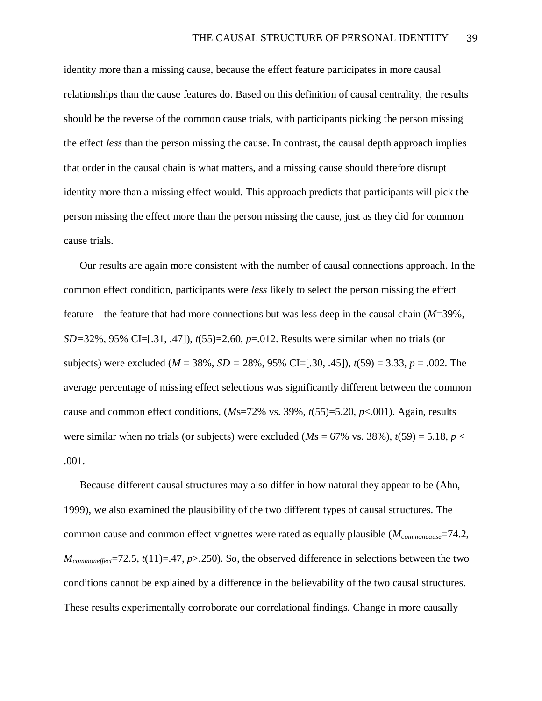identity more than a missing cause, because the effect feature participates in more causal relationships than the cause features do. Based on this definition of causal centrality, the results should be the reverse of the common cause trials, with participants picking the person missing the effect *less* than the person missing the cause. In contrast, the causal depth approach implies that order in the causal chain is what matters, and a missing cause should therefore disrupt identity more than a missing effect would. This approach predicts that participants will pick the person missing the effect more than the person missing the cause, just as they did for common cause trials.

Our results are again more consistent with the number of causal connections approach. In the common effect condition, participants were *less* likely to select the person missing the effect feature—the feature that had more connections but was less deep in the causal chain (*M*=39%, *SD=*32%, 95% CI=[.31, .47]), *t*(55)=2.60, *p*=.012. Results were similar when no trials (or subjects) were excluded ( $M = 38\%$ ,  $SD = 28\%$ ,  $95\%$  CI=[.30, .45]),  $t(59) = 3.33$ ,  $p = .002$ . The average percentage of missing effect selections was significantly different between the common cause and common effect conditions, (*M*s=72% vs. 39%, *t*(55)=5.20, *p*<.001). Again, results were similar when no trials (or subjects) were excluded ( $Ms = 67\%$  vs. 38%),  $t(59) = 5.18$ ,  $p <$ .001.

Because different causal structures may also differ in how natural they appear to be (Ahn, 1999), we also examined the plausibility of the two different types of causal structures. The common cause and common effect vignettes were rated as equally plausible (*Mcommoncause*=74.2, *M*<sub>commoneffect</sub>=72.5, *t*(11)=.47, *p*>.250). So, the observed difference in selections between the two conditions cannot be explained by a difference in the believability of the two causal structures. These results experimentally corroborate our correlational findings. Change in more causally